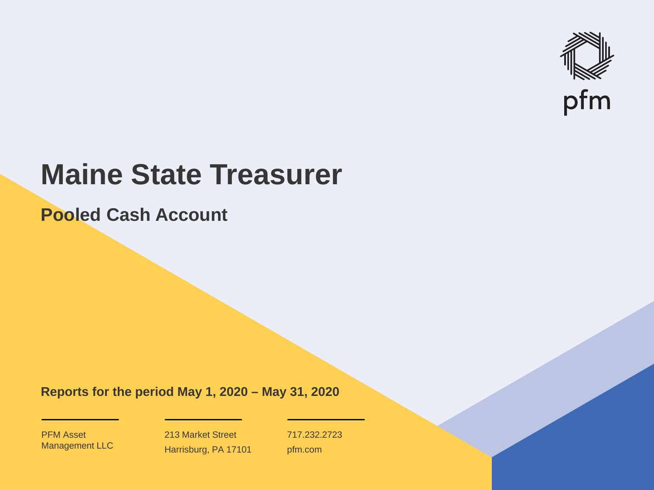

# **Maine State Treasurer**

**Pooled Cash Account**

**Reports for the period May 1, 2020 – May 31, 2020**

PFM Asset Management LLC

213 Market Street Harrisburg, PA 17101 717.232.2723 pfm.com

 $\mathcal{P}_\text{max}$  and  $\mathcal{P}_\text{max}$  is the probability of  $\mathcal{P}_\text{max}$  and  $\mathcal{P}_\text{max}$  and  $\mathcal{P}_\text{max}$  and  $\mathcal{P}_\text{max}$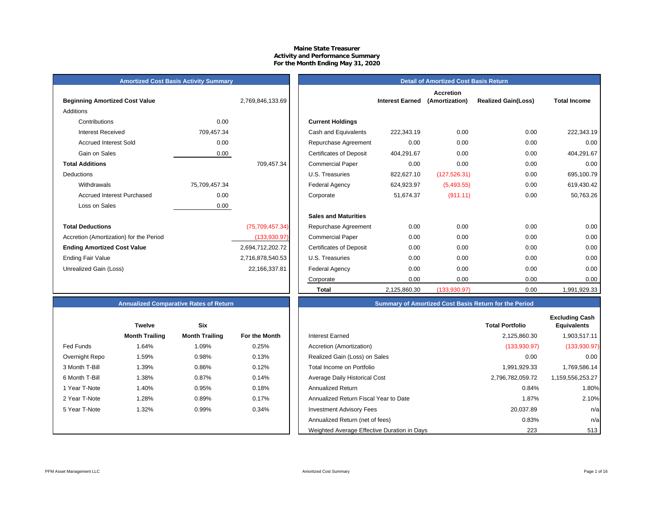#### **Maine State Treasurer Activity and Performance Summary For the Month Ending May 31, 2020**

# **Amortized Cost Basis Activity Summary**<br> **Amortized Cost Basis Return**

| <b>Beginning Amortized Cost Value</b>   |               | 2,769,846,133.69 | <b>Interest Earned</b>                 |
|-----------------------------------------|---------------|------------------|----------------------------------------|
| Additions                               |               |                  |                                        |
| Contributions                           | 0.00          |                  | <b>Current Holdings</b>                |
| Interest Received                       | 709,457.34    |                  | Cash and Equivalents<br>222,343.19     |
| <b>Accrued Interest Sold</b>            | 0.00          |                  | 0.00<br>Repurchase Agreement           |
| Gain on Sales                           | 0.00          |                  | Certificates of Deposit<br>404,291.67  |
| <b>Total Additions</b>                  |               | 709,457.34       | 0.00<br><b>Commercial Paper</b>        |
| Deductions                              |               |                  | U.S. Treasuries<br>822,627.10          |
| Withdrawals                             | 75,709,457.34 |                  | Federal Agency<br>624,923.97           |
| Accrued Interest Purchased              | 0.00          |                  | Corporate<br>51,674.37                 |
| Loss on Sales                           | 0.00          |                  |                                        |
|                                         |               |                  | <b>Sales and Maturities</b>            |
| <b>Total Deductions</b>                 |               | (75,709,457.34)  | 0.00<br>Repurchase Agreement           |
| Accretion (Amortization) for the Period |               | (133,930.97)     | 0.00<br><b>Commercial Paper</b>        |
| <b>Ending Amortized Cost Value</b>      |               | 2,694,712,202.72 | <b>Certificates of Deposit</b><br>0.00 |
| <b>Ending Fair Value</b>                |               | 2,716,878,540.53 | 0.00<br>U.S. Treasuries                |
| Unrealized Gain (Loss)                  |               | 22,166,337.81    | <b>Federal Agency</b><br>0.00          |
|                                         |               |                  |                                        |

|                                         |               |                  |                                | <b>Accretion</b>       |                |                            |                     |
|-----------------------------------------|---------------|------------------|--------------------------------|------------------------|----------------|----------------------------|---------------------|
| <b>Beginning Amortized Cost Value</b>   |               | 2,769,846,133.69 |                                | <b>Interest Earned</b> | (Amortization) | <b>Realized Gain(Loss)</b> | <b>Total Income</b> |
| Additions                               |               |                  |                                |                        |                |                            |                     |
| Contributions                           | 0.00          |                  | <b>Current Holdings</b>        |                        |                |                            |                     |
| <b>Interest Received</b>                | 709,457.34    |                  | Cash and Equivalents           | 222,343.19             | 0.00           | 0.00                       | 222,343.19          |
| <b>Accrued Interest Sold</b>            | 0.00          |                  | Repurchase Agreement           | 0.00                   | 0.00           | 0.00                       | 0.00                |
| Gain on Sales                           | 0.00          |                  | <b>Certificates of Deposit</b> | 404,291.67             | 0.00           | 0.00                       | 404,291.67          |
| <b>Total Additions</b>                  |               | 709,457.34       | <b>Commercial Paper</b>        | 0.00                   | 0.00           | 0.00                       | 0.00                |
| Deductions                              |               |                  | U.S. Treasuries                | 822,627.10             | (127, 526.31)  | 0.00                       | 695,100.79          |
| Withdrawals                             | 75,709,457.34 |                  | <b>Federal Agency</b>          | 624,923.97             | (5,493.55)     | 0.00                       | 619,430.42          |
| <b>Accrued Interest Purchased</b>       | 0.00          |                  | Corporate                      | 51,674.37              | (911.11)       | 0.00                       | 50,763.26           |
| Loss on Sales                           | 0.00          |                  |                                |                        |                |                            |                     |
|                                         |               |                  | <b>Sales and Maturities</b>    |                        |                |                            |                     |
| <b>Total Deductions</b>                 |               | (75,709,457.34)  | Repurchase Agreement           | 0.00                   | 0.00           | 0.00                       | 0.00                |
| Accretion (Amortization) for the Period |               | (133,930.97)     | <b>Commercial Paper</b>        | 0.00                   | 0.00           | 0.00                       | 0.00                |
| Ending Amortized Cost Value             |               | 2,694,712,202.72 | <b>Certificates of Deposit</b> | 0.00                   | 0.00           | 0.00                       | 0.00                |
| Ending Fair Value                       |               | 2,716,878,540.53 | U.S. Treasuries                | 0.00                   | 0.00           | 0.00                       | 0.00                |
| Unrealized Gain (Loss)                  |               | 22,166,337.81    | Federal Agency                 | 0.00                   | 0.00           | 0.00                       | 0.00                |
|                                         |               |                  | Corporate                      | 0.00                   | 0.00           | 0.00                       | 0.00                |
|                                         |               |                  | <b>Total</b>                   | 2,125,860.30           | (133,930.97)   | 0.00                       | 1,991,929.33        |

|                | <b>Twelve</b>         | <b>Six</b>            |               |
|----------------|-----------------------|-----------------------|---------------|
|                | <b>Month Trailing</b> | <b>Month Trailing</b> | For the Month |
| Fed Funds      | 1.64%                 | 1.09%                 | 0.25%         |
| Overnight Repo | 1.59%                 | 0.98%                 | 0.13%         |
| 3 Month T-Bill | 1.39%                 | 0.86%                 | 0.12%         |
| 6 Month T-Bill | 1.38%                 | 0.87%                 | 0.14%         |
| 1 Year T-Note  | 1.40%                 | 0.95%                 | 0.18%         |
| 2 Year T-Note  | 1.28%                 | 0.89%                 | 0.17%         |
| 5 Year T-Note  | 1.32%                 | 0.99%                 | 0.34%         |
|                |                       |                       |               |
|                |                       |                       |               |

# **Annualized Comparative Rates of Return Summary of Amortized Cost Basis Return for the Period**

|                | <b>Twelve</b>         | Six                   |               |                                             | <b>Total Portfolio</b> | <b>Excluding Cash</b><br><b>Equivalents</b> |
|----------------|-----------------------|-----------------------|---------------|---------------------------------------------|------------------------|---------------------------------------------|
|                | <b>Month Trailing</b> | <b>Month Trailing</b> | For the Month | Interest Earned                             | 2,125,860.30           | 1,903,517.11                                |
| Fed Funds      | 1.64%                 | 1.09%                 | 0.25%         | Accretion (Amortization)                    | (133,930.97)           | (133,930.97)                                |
| Overnight Repo | 1.59%                 | 0.98%                 | 0.13%         | Realized Gain (Loss) on Sales               | 0.00                   | 0.00                                        |
| 3 Month T-Bill | 1.39%                 | 0.86%                 | 0.12%         | Total Income on Portfolio                   | 1,991,929.33           | 1,769,586.14                                |
| 6 Month T-Bill | 1.38%                 | 0.87%                 | 0.14%         | Average Daily Historical Cost               | 2.796.782.059.72       | 1,159,556,253.27                            |
| 1 Year T-Note  | 1.40%                 | 0.95%                 | 0.18%         | <b>Annualized Return</b>                    | 0.84%                  | 1.80%                                       |
| 2 Year T-Note  | 1.28%                 | 0.89%                 | 0.17%         | Annualized Return Fiscal Year to Date       | 1.87%                  | 2.10%                                       |
| 5 Year T-Note  | 1.32%                 | 0.99%                 | 0.34%         | <b>Investment Advisory Fees</b>             | 20,037.89              | n/a                                         |
|                |                       |                       |               | Annualized Return (net of fees)             | 0.83%                  | n/a                                         |
|                |                       |                       |               | Weighted Average Effective Duration in Days | 223                    | 513                                         |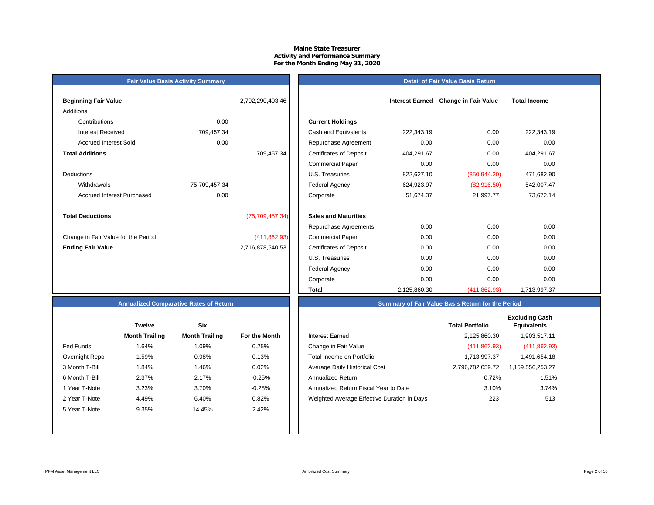### **Maine State Treasurer Activity and Performance Summary For the Month Ending May 31, 2020**

# **Fair Value Basis Activity Summary**

| Detail of Fair Value Basis Return |  |  |
|-----------------------------------|--|--|
|                                   |  |  |
|                                   |  |  |

| <b>Beginning Fair Value</b>         |               | 2,792,290,403.46 |                                 |
|-------------------------------------|---------------|------------------|---------------------------------|
| Additions                           |               |                  |                                 |
| Contributions                       | 0.00          |                  | <b>Current Holdings</b>         |
| Interest Received                   | 709,457.34    |                  | Cash and Equivalents            |
| <b>Accrued Interest Sold</b>        | 0.00          |                  | Repurchase Agreeme              |
| <b>Total Additions</b>              |               | 709,457.34       | <b>Certificates of Deposit</b>  |
|                                     |               |                  | <b>Commercial Paper</b>         |
| <b>Deductions</b>                   |               |                  | U.S. Treasuries                 |
| Withdrawals                         | 75,709,457.34 |                  | <b>Federal Agency</b>           |
| <b>Accrued Interest Purchased</b>   | 0.00          |                  | Corporate                       |
|                                     |               |                  |                                 |
| <b>Total Deductions</b>             |               | (75,709,457.34)  | <b>Sales and Maturities</b>     |
|                                     |               |                  | Repurchase Agreeme              |
| Change in Fair Value for the Period |               | (411, 862.93)    | <b>Commercial Paper</b>         |
| <b>Ending Fair Value</b>            |               | 2,716,878,540.53 | <b>Certificates of Deposit</b>  |
|                                     |               |                  | $\cdots$ $\sim$ $\sim$ $\cdots$ |

| Beginning Fair Value                |               | 2,792,290,403.46  |                                |              | Interest Earned Change in Fair Value | <b>Total Income</b> |  |
|-------------------------------------|---------------|-------------------|--------------------------------|--------------|--------------------------------------|---------------------|--|
| Additions                           |               |                   |                                |              |                                      |                     |  |
| Contributions                       | 0.00          |                   | <b>Current Holdings</b>        |              |                                      |                     |  |
| <b>Interest Received</b>            | 709,457.34    |                   | Cash and Equivalents           | 222,343.19   | 0.00                                 | 222,343.19          |  |
| <b>Accrued Interest Sold</b>        | 0.00          |                   | Repurchase Agreement           | 0.00         | 0.00                                 | 0.00                |  |
| <b>Total Additions</b>              |               | 709,457.34        | <b>Certificates of Deposit</b> | 404,291.67   | 0.00                                 | 404,291.67          |  |
|                                     |               |                   | <b>Commercial Paper</b>        | 0.00         | 0.00                                 | 0.00                |  |
| Deductions                          |               |                   | U.S. Treasuries                | 822,627.10   | (350, 944.20)                        | 471,682.90          |  |
| Withdrawals                         | 75,709,457.34 |                   | <b>Federal Agency</b>          | 624,923.97   | (82,916.50)                          | 542,007.47          |  |
| <b>Accrued Interest Purchased</b>   | 0.00          |                   | Corporate                      | 51,674.37    | 21,997.77                            | 73,672.14           |  |
| <b>Total Deductions</b>             |               | (75, 709, 457.34) | <b>Sales and Maturities</b>    |              |                                      |                     |  |
|                                     |               |                   | Repurchase Agreements          | 0.00         | 0.00                                 | 0.00                |  |
| Change in Fair Value for the Period |               | (411, 862.93)     | <b>Commercial Paper</b>        | 0.00         | 0.00                                 | 0.00                |  |
| <b>Ending Fair Value</b>            |               | 2,716,878,540.53  | <b>Certificates of Deposit</b> | 0.00         | 0.00                                 | 0.00                |  |
|                                     |               |                   | U.S. Treasuries                | 0.00         | 0.00                                 | 0.00                |  |
|                                     |               |                   | Federal Agency                 | 0.00         | 0.00                                 | 0.00                |  |
|                                     |               |                   | Corporate                      | 0.00         | 0.00                                 | 0.00                |  |
|                                     |               |                   | Total                          | 2,125,860.30 | (411, 862.93)                        | 1,713,997.37        |  |

# **Annualized Comparative Rates of Return**

|                | <b>Twelve</b>         | Six                   |                      |
|----------------|-----------------------|-----------------------|----------------------|
|                | <b>Month Trailing</b> | <b>Month Trailing</b> | <b>For the Month</b> |
| Fed Funds      | 1.64%                 | 1.09%                 | 0.25%                |
| Overnight Repo | 1.59%                 | 0.98%                 | 0.13%                |
| 3 Month T-Bill | 1.84%                 | 1.46%                 | 0.02%                |
| 6 Month T-Bill | 2.37%                 | 2.17%                 | $-0.25%$             |
| 1 Year T-Note  | 3.23%                 | 3.70%                 | $-0.28%$             |
| 2 Year T-Note  | 4.49%                 | 6.40%                 | 0.82%                |
| 5 Year T-Note  | 9.35%                 | 14.45%                | 2.42%                |
|                |                       |                       |                      |
|                |                       |                       |                      |

|                | <b>Twelve</b>         | <b>Six</b>            |               |                                             | <b>Total Portfolio</b> | <b>Excluding Cash</b><br><b>Equivalents</b> |
|----------------|-----------------------|-----------------------|---------------|---------------------------------------------|------------------------|---------------------------------------------|
|                | <b>Month Trailing</b> | <b>Month Trailing</b> | For the Month | <b>Interest Earned</b>                      | 2,125,860.30           | 1,903,517.11                                |
| Fed Funds      | 1.64%                 | 1.09%                 | 0.25%         | Change in Fair Value                        | (411, 862.93)          | (411, 862.93)                               |
| Overnight Repo | 1.59%                 | 0.98%                 | 0.13%         | Total Income on Portfolio                   | 1,713,997.37           | 1,491,654.18                                |
| 3 Month T-Bill | 1.84%                 | 1.46%                 | 0.02%         | Average Daily Historical Cost               | 2,796,782,059.72       | 1,159,556,253.27                            |
| 6 Month T-Bill | 2.37%                 | 2.17%                 | $-0.25%$      | <b>Annualized Return</b>                    | 0.72%                  | 1.51%                                       |
| 1 Year T-Note  | 3.23%                 | 3.70%                 | $-0.28%$      | Annualized Return Fiscal Year to Date       | 3.10%                  | 3.74%                                       |
| 2 Year T-Note  | 4.49%                 | 6.40%                 | 0.82%         | Weighted Average Effective Duration in Days | 223                    | 513                                         |
| 5 Year T-Note  | 9.35%                 | 14.45%                | 2.42%         |                                             |                        |                                             |
|                |                       |                       |               |                                             |                        |                                             |

**Summary of Fair Value Basis Return for the Period**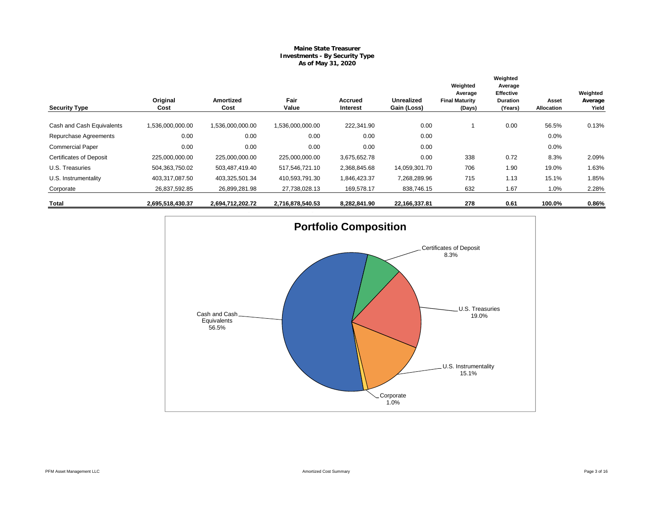## **Maine State Treasurer Investments - By Security Type As of May 31, 2020**

|                                |                  |                          |                  |                     |                                  | Weighted<br>Average             | Weighted<br>Average<br><b>Effective</b> |                     | Weighted         |
|--------------------------------|------------------|--------------------------|------------------|---------------------|----------------------------------|---------------------------------|-----------------------------------------|---------------------|------------------|
| <b>Security Type</b>           | Original<br>Cost | <b>Amortized</b><br>Cost | Fair<br>Value    | Accrued<br>Interest | <b>Unrealized</b><br>Gain (Loss) | <b>Final Maturity</b><br>(Days) | <b>Duration</b><br>(Years)              | Asset<br>Allocation | Average<br>Yield |
| Cash and Cash Equivalents      | 1,536,000,000.00 | 1,536,000,000.00         | 1.536.000.000.00 | 222,341.90          | 0.00                             |                                 | 0.00                                    | 56.5%               | 0.13%            |
| Repurchase Agreements          | 0.00             | 0.00                     | 0.00             | 0.00                | 0.00                             |                                 |                                         | 0.0%                |                  |
| <b>Commercial Paper</b>        | 0.00             | 0.00                     | 0.00             | 0.00                | 0.00                             |                                 |                                         | 0.0%                |                  |
| <b>Certificates of Deposit</b> | 225,000,000.00   | 225,000,000.00           | 225,000,000.00   | 3,675,652.78        | 0.00                             | 338                             | 0.72                                    | 8.3%                | 2.09%            |
| U.S. Treasuries                | 504,363,750.02   | 503,487,419.40           | 517,546,721.10   | 2,368,845.68        | 14,059,301.70                    | 706                             | 1.90                                    | 19.0%               | 1.63%            |
| U.S. Instrumentality           | 403,317,087.50   | 403,325,501.34           | 410,593,791.30   | 1,846,423.37        | 7,268,289.96                     | 715                             | 1.13                                    | 15.1%               | 1.85%            |
| Corporate                      | 26,837,592.85    | 26,899,281.98            | 27,738,028.13    | 169,578.17          | 838,746.15                       | 632                             | 1.67                                    | 1.0%                | 2.28%            |
| Total                          | 2,695,518,430.37 | 2,694,712,202.72         | 2,716,878,540.53 | 8,282,841.90        | 22,166,337.81                    | 278                             | 0.61                                    | 100.0%              | 0.86%            |

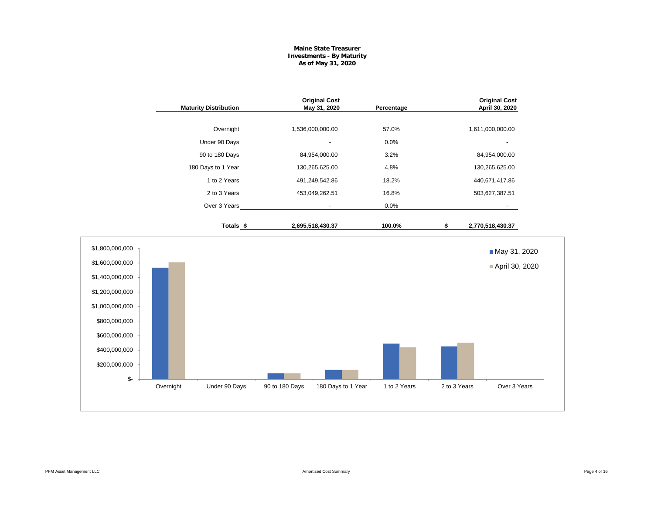### **Maine State Treasurer Investments - By Maturity As of May 31, 2020**

|                                                                                                                                                                        | <b>Maturity Distribution</b> |                | <b>Original Cost</b><br>May 31, 2020 | Percentage   |              | <b>Original Cost</b><br>April 30, 2020 |
|------------------------------------------------------------------------------------------------------------------------------------------------------------------------|------------------------------|----------------|--------------------------------------|--------------|--------------|----------------------------------------|
|                                                                                                                                                                        | Overnight                    |                | 1,536,000,000.00                     | 57.0%        |              | 1,611,000,000.00                       |
|                                                                                                                                                                        | Under 90 Days                |                |                                      | 0.0%         |              |                                        |
|                                                                                                                                                                        | 90 to 180 Days               |                | 84,954,000.00                        | 3.2%         |              | 84,954,000.00                          |
|                                                                                                                                                                        | 180 Days to 1 Year           |                | 130,265,625.00                       | 4.8%         |              | 130,265,625.00                         |
|                                                                                                                                                                        | 1 to 2 Years                 |                | 491,249,542.86                       | 18.2%        |              | 440,671,417.86                         |
|                                                                                                                                                                        | 2 to 3 Years                 |                | 453,049,262.51                       | 16.8%        |              | 503,627,387.51                         |
|                                                                                                                                                                        | Over 3 Years                 |                |                                      | 0.0%         |              |                                        |
|                                                                                                                                                                        | Totals <sub>\$</sub>         |                | 2,695,518,430.37                     | 100.0%       | \$           | 2,770,518,430.37                       |
| \$1,800,000,000<br>\$1,600,000,000<br>\$1,400,000,000<br>\$1,200,000,000<br>\$1,000,000,000<br>\$800,000,000<br>\$600,000,000<br>\$400,000,000<br>\$200,000,000<br>\$- |                              |                |                                      |              |              | May 31, 2020<br>April 30, 2020         |
|                                                                                                                                                                        | Overnight<br>Under 90 Days   | 90 to 180 Days | 180 Days to 1 Year                   | 1 to 2 Years | 2 to 3 Years | Over 3 Years                           |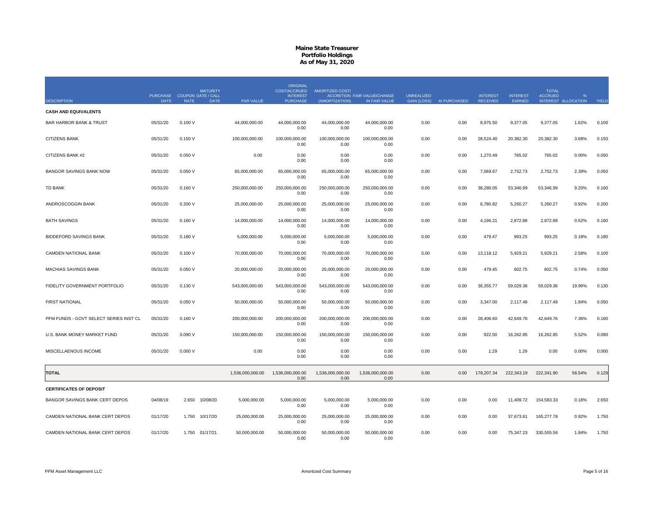| <b>DESCRIPTION</b>                     | PURCHASE COUPON DATE / CALL<br><b>DATE</b> | <b>RATE</b> | <b>MATURITY</b><br><b>DATE</b> | PAR VALUE        | <b>ORIGINAL</b><br>COST/ACCRUED<br><b>INTEREST</b><br><b>PURCHASE</b> | AMORTIZED COST/<br>(AMORTIZATION) | <b>ACCRETION FAIR VALUE/CHANGE</b><br>IN FAIR VALUE | <b>UNREALIZED</b><br><b>GAIN (LOSS)</b> | AI PURCHASED | <b>INTEREST</b><br><b>RECEIVED</b> | <b>INTEREST</b><br>EARNED | <b>TOTAL</b><br><b>ACCRUED</b><br>INTEREST ALLOCATION |        | YIELD |
|----------------------------------------|--------------------------------------------|-------------|--------------------------------|------------------|-----------------------------------------------------------------------|-----------------------------------|-----------------------------------------------------|-----------------------------------------|--------------|------------------------------------|---------------------------|-------------------------------------------------------|--------|-------|
| <b>CASH AND EQUIVALENTS</b>            |                                            |             |                                |                  |                                                                       |                                   |                                                     |                                         |              |                                    |                           |                                                       |        |       |
| <b>BAR HARBOR BANK &amp; TRUST</b>     | 05/31/20                                   | 0.100V      |                                | 44,000,000.00    | 44,000,000.00<br>0.00                                                 | 44,000,000.00<br>0.00             | 44,000,000.00<br>0.00                               | 0.00                                    | 0.00         | 8,975.50                           | 9,377.05                  | 9,377.05                                              | 1.62%  | 0.100 |
| CITIZENS BANK                          | 05/31/20                                   | 0.150V      |                                | 100,000,000.00   | 100,000,000.00<br>0.00                                                | 100,000,000.00<br>0.00            | 100,000,000.00<br>0.00                              | 0.00                                    | 0.00         | 28,524.40                          | 20,382.30                 | 20,382.30                                             | 3.68%  | 0.150 |
| CITIZENS BANK #2                       | 05/31/20                                   | 0.050V      |                                | 0.00             | 0.00<br>0.00                                                          | 0.00<br>0.00                      | 0.00<br>0.00                                        | 0.00                                    | 0.00         | 1,270.49                           | 765.02                    | 765.02                                                | 0.00%  | 0.050 |
| <b>BANGOR SAVINGS BANK NOW</b>         | 05/31/20                                   | 0.050V      |                                | 65,000,000.00    | 65.000.000.00<br>0.00                                                 | 65.000.000.00<br>0.00             | 65,000,000.00<br>0.00                               | 0.00                                    | 0.00         | 7,069.67                           | 2,752.73                  | 2,752.73                                              | 2.39%  | 0.050 |
| <b>TD BANK</b>                         | 05/31/20                                   | 0.160V      |                                | 250,000,000.00   | 250,000,000.00<br>0.00                                                | 250,000,000.00<br>0.00            | 250,000,000.00<br>0.00                              | 0.00                                    | 0.00         | 38,280.05                          | 53,346.99                 | 53,346.99                                             | 9.20%  | 0.160 |
| ANDROSCOGGIN BANK                      | 05/31/20                                   | 0.200V      |                                | 25,000,000.00    | 25,000,000.00<br>0.00                                                 | 25.000.000.00<br>0.00             | 25,000,000.00<br>0.00                               | 0.00                                    | 0.00         | 6,780.82                           | 5,260.27                  | 5.260.27                                              | 0.92%  | 0.200 |
| <b>BATH SAVINGS</b>                    | 05/31/20                                   | 0.160V      |                                | 14,000,000.00    | 14,000,000.00<br>0.00                                                 | 14,000,000.00<br>0.00             | 14,000,000.00<br>0.00                               | 0.00                                    | 0.00         | 4,196.21                           | 2,872.88                  | 2,872.88                                              | 0.52%  | 0.160 |
| <b>BIDDEFORD SAVINGS BANK</b>          | 05/31/20                                   | 0.180V      |                                | 5.000.000.00     | 5.000.000.00<br>0.00                                                  | 5.000.000.00<br>0.00              | 5.000.000.00<br>0.00                                | 0.00                                    | 0.00         | 479.47                             | 993.25                    | 993.25                                                | 0.18%  | 0.180 |
| CAMDEN NATIONAL BANK                   | 05/31/20                                   | 0.100V      |                                | 70,000,000.00    | 70,000,000.00<br>0.00                                                 | 70,000,000.00<br>0.00             | 70,000,000.00<br>0.00                               | 0.00                                    | 0.00         | 13,118.12                          | 5,929.21                  | 5,929.21                                              | 2.58%  | 0.100 |
| MACHIAS SAVINGS BANK                   | 05/31/20                                   | 0.050V      |                                | 20,000,000.00    | 20,000,000.00<br>0.00                                                 | 20,000,000.00<br>0.00             | 20,000,000.00<br>0.00                               | 0.00                                    | 0.00         | 479.45                             | 602.75                    | 602.75                                                | 0.74%  | 0.050 |
| FIDELITY GOVERNMENT PORTFOLIO          | 05/31/20                                   | 0.130V      |                                | 543,000,000.00   | 543,000,000.00<br>0.00                                                | 543,000,000.00<br>0.00            | 543,000,000.00<br>0.00                              | 0.00                                    | 0.00         | 36,355.77                          | 59,029.36                 | 59,029.36                                             | 19.99% | 0.130 |
| <b>FIRST NATIONAL</b>                  | 05/31/20                                   | 0.050V      |                                | 50,000,000.00    | 50,000,000.00<br>0.00                                                 | 50,000,000.00<br>0.00             | 50,000,000.00<br>0.00                               | 0.00                                    | 0.00         | 3,347.00                           | 2,117.48                  | 2,117.48                                              | 1.84%  | 0.050 |
| PFM FUNDS - GOVT SELECT SERIES INST CL | 05/31/20                                   | 0.160V      |                                | 200,000,000.00   | 200,000,000.00<br>0.00                                                | 200,000,000.00<br>0.00            | 200,000,000.00<br>0.00                              | 0.00                                    | 0.00         | 28,406.60                          | 42,649.76                 | 42,649.76                                             | 7.36%  | 0.160 |
| U.S. BANK MONEY MARKET FUND            | 05/31/20                                   | 0.090 V     |                                | 150,000,000.00   | 150,000,000.00<br>0.00                                                | 150,000,000.00<br>0.00            | 150,000,000.00<br>0.00                              | 0.00                                    | 0.00         | 922.50                             | 16,262.85                 | 16,262.85                                             | 5.52%  | 0.090 |
| MISCELLAENOUS INCOME                   | 05/31/20                                   | 0.000V      |                                | 0.00             | 0.00<br>0.00                                                          | 0.00<br>0.00                      | 0.00<br>0.00                                        | 0.00                                    | 0.00         | 1.29                               | 1.29                      | 0.00                                                  | 0.00%  | 0.000 |
| <b>TOTAL</b>                           |                                            |             |                                | 1,536,000,000.00 | 1,536,000,000.00<br>0.00                                              | 1,536,000,000.00<br>0.00          | 1,536,000,000.00<br>0.00                            | 0.00                                    | 0.00         | 178,207.34                         | 222,343.19                | 222,341.90                                            | 56.54% | 0.129 |
| <b>CERTIFICATES OF DEPOSIT</b>         |                                            |             |                                |                  |                                                                       |                                   |                                                     |                                         |              |                                    |                           |                                                       |        |       |
| BANGOR SAVINGS BANK CERT DEPOS         | 04/08/19                                   | 2.650       | 10/08/20                       | 5,000,000.00     | 5,000,000.00<br>0.00                                                  | 5,000,000.00<br>0.00              | 5,000,000.00<br>0.00                                | 0.00                                    | 0.00         | 0.00                               | 11,409.72                 | 154,583.33                                            | 0.18%  | 2.650 |
| CAMDEN NATIONAL BANK CERT DEPOS        | 01/17/20                                   | 1.750       | 10/17/20                       | 25,000,000.00    | 25,000,000.00<br>0.00                                                 | 25,000,000.00<br>0.00             | 25,000,000.00<br>0.00                               | 0.00                                    | 0.00         | 0.00                               | 37,673.61                 | 165,277.78                                            | 0.92%  | 1.750 |
| CAMDEN NATIONAL BANK CERT DEPOS        | 01/17/20                                   |             | 1.750 01/17/21                 | 50,000,000.00    | 50,000,000.00<br>0.00                                                 | 50,000,000.00<br>0.00             | 50,000,000.00<br>0.00                               | 0.00                                    | 0.00         | 0.00                               | 75,347.23                 | 330,555.56                                            | 1.84%  | 1.750 |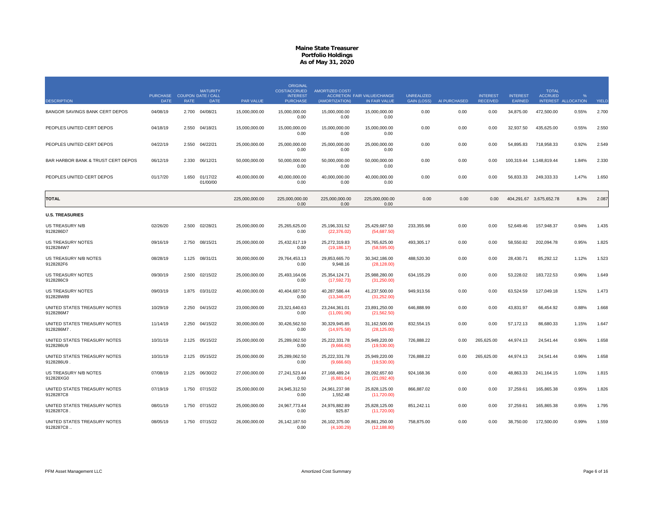|                                            |                                            |             | <b>MATURITY</b>      |                  | <b>ORIGINAL</b><br><b>COST/ACCRUED</b> | <b>AMORTIZED COST/</b>          |                                                     |                                         |              |                                    |                           | <b>TOTAL</b>            |                                      |       |
|--------------------------------------------|--------------------------------------------|-------------|----------------------|------------------|----------------------------------------|---------------------------------|-----------------------------------------------------|-----------------------------------------|--------------|------------------------------------|---------------------------|-------------------------|--------------------------------------|-------|
| <b>DESCRIPTION</b>                         | PURCHASE COUPON DATE / CALL<br><b>DATE</b> | <b>RATE</b> | <b>DATE</b>          | <b>PAR VALUE</b> | <b>INTEREST</b><br><b>PURCHASE</b>     | (AMORTIZATION)                  | <b>ACCRETION FAIR VALUE/CHANGE</b><br>IN FAIR VALUE | <b>UNREALIZED</b><br><b>GAIN (LOSS)</b> | AI PURCHASED | <b>INTEREST</b><br><b>RECEIVED</b> | <b>INTEREST</b><br>EARNED | <b>ACCRUED</b>          | $\frac{9}{6}$<br>INTEREST ALLOCATION | YIELD |
| BANGOR SAVINGS BANK CERT DEPOS             | 04/08/19                                   |             | 2.700 04/08/21       | 15,000,000.00    | 15,000,000.00<br>0.00                  | 15,000,000.00<br>0.00           | 15,000,000.00<br>0.00                               | 0.00                                    | 0.00         | 0.00                               | 34,875.00                 | 472,500.00              | 0.55%                                | 2.700 |
| PEOPLES UNITED CERT DEPOS                  | 04/18/19                                   | 2.550       | 04/18/21             | 15,000,000.00    | 15,000,000.00<br>0.00                  | 15,000,000.00<br>0.00           | 15,000,000.00<br>0.00                               | 0.00                                    | 0.00         | 0.00                               | 32,937.50                 | 435,625.00              | 0.55%                                | 2.550 |
| PEOPLES UNITED CERT DEPOS                  | 04/22/19                                   | 2.550       | 04/22/21             | 25,000,000.00    | 25,000,000.00<br>0.00                  | 25,000,000.00<br>0.00           | 25,000,000.00<br>0.00                               | 0.00                                    | 0.00         | 0.00                               | 54,895.83                 | 718,958.33              | 0.92%                                | 2.549 |
| BAR HARBOR BANK & TRUST CERT DEPOS         | 06/12/19                                   | 2.330       | 06/12/21             | 50,000,000.00    | 50,000,000.00<br>0.00                  | 50,000,000.00<br>0.00           | 50,000,000.00<br>0.00                               | 0.00                                    | 0.00         | 0.00                               |                           | 100,319.44 1,148,819.44 | 1.84%                                | 2.330 |
| PEOPLES UNITED CERT DEPOS                  | 01/17/20                                   | 1.650       | 01/17/22<br>01/00/00 | 40,000,000.00    | 40,000,000.00<br>0.00                  | 40,000,000.00<br>0.00           | 40,000,000.00<br>0.00                               | 0.00                                    | 0.00         | 0.00                               | 56,833.33                 | 249,333.33              | 1.47%                                | 1.650 |
| <b>TOTAL</b>                               |                                            |             |                      | 225,000,000.00   | 225,000,000.00<br>0.00                 | 225,000,000.00<br>0.00          | 225,000,000.00<br>0.00                              | 0.00                                    | 0.00         | 0.00                               |                           | 404,291.67 3,675,652.78 | 8.3%                                 | 2.087 |
| <b>U.S. TREASURIES</b>                     |                                            |             |                      |                  |                                        |                                 |                                                     |                                         |              |                                    |                           |                         |                                      |       |
| US TREASURY N/B<br>9128286D7               | 02/26/20                                   | 2.500       | 02/28/21             | 25,000,000.00    | 25,265,625.00<br>0.00                  | 25,196,331.52<br>(22, 376.02)   | 25,429,687.50<br>(54,687.50)                        | 233,355.98                              | 0.00         | 0.00                               | 52,649.46                 | 157,948.37              | 0.94%                                | 1.435 |
| <b>US TREASURY NOTES</b><br>9128284W7      | 09/16/19                                   | 2.750       | 08/15/21             | 25,000,000.00    | 25,432,617.19<br>0.00                  | 25,272,319.83<br>(19, 186.17)   | 25,765,625.00<br>(58, 595.00)                       | 493,305.17                              | 0.00         | 0.00                               | 58,550.82                 | 202,094.78              | 0.95%                                | 1.825 |
| US TREASURY N/B NOTES<br>9128282F6         | 08/28/19                                   | 1.125       | 08/31/21             | 30,000,000.00    | 29,764,453.13<br>0.00                  | 29,853,665.70<br>9,948.16       | 30,342,186.00<br>(28, 128.00)                       | 488,520.30                              | 0.00         | 0.00                               | 28,430.71                 | 85,292.12               | 1.12%                                | 1.523 |
| <b>US TREASURY NOTES</b><br>9128286C9      | 09/30/19                                   | 2.500       | 02/15/22             | 25,000,000.00    | 25,493,164.06<br>0.00                  | 25, 354, 124. 71<br>(17,592.73) | 25,988,280.00<br>(31,250.00)                        | 634, 155.29                             | 0.00         | 0.00                               | 53,228.02                 | 183,722.53              | 0.96%                                | 1.649 |
| <b>US TREASURY NOTES</b><br>912828W89      | 09/03/19                                   |             | 1.875 03/31/22       | 40,000,000.00    | 40,404,687.50<br>0.00                  | 40,287,586.44<br>(13,346.07)    | 41,237,500.00<br>(31, 252.00)                       | 949,913.56                              | 0.00         | 0.00                               | 63,524.59                 | 127,049.18              | 1.52%                                | 1.473 |
| UNITED STATES TREASURY NOTES<br>9128286M7  | 10/29/19                                   | 2.250       | 04/15/22             | 23,000,000.00    | 23,321,640.63<br>0.00                  | 23,244,361.01<br>(11,091.06)    | 23,891,250.00<br>(21, 562.50)                       | 646,888.99                              | 0.00         | 0.00                               | 43,831.97                 | 66,454.92               | 0.88%                                | 1.668 |
| UNITED STATES TREASURY NOTES<br>9128286M7. | 11/14/19                                   | 2.250       | 04/15/22             | 30,000,000.00    | 30,426,562.50<br>0.00                  | 30,329,945.85<br>(14, 975.58)   | 31,162,500.00<br>(28, 125.00)                       | 832,554.15                              | 0.00         | 0.00                               | 57,172.13                 | 86,680.33               | 1.15%                                | 1.647 |
| UNITED STATES TREASURY NOTES<br>9128286U9  | 10/31/19                                   | 2.125       | 05/15/22             | 25,000,000.00    | 25,289,062.50<br>0.00                  | 25,222,331.78<br>(9,666.60)     | 25,949,220.00<br>(19,530.00)                        | 726,888.22                              | 0.00         | 265,625.00                         | 44,974.13                 | 24.541.44               | 0.96%                                | 1.658 |
| UNITED STATES TREASURY NOTES<br>9128286U9. | 10/31/19                                   | 2.125       | 05/15/22             | 25,000,000.00    | 25,289,062.50<br>0.00                  | 25,222,331.78<br>(9,666.60)     | 25,949,220.00<br>(19,530.00)                        | 726,888.22                              | 0.00         | 265,625.00                         | 44,974.13                 | 24,541.44               | 0.96%                                | 1.658 |
| US TREASURY N/B NOTES<br>912828XG0         | 07/08/19                                   | 2.125       | 06/30/22             | 27,000,000.00    | 27,241,523.44<br>0.00                  | 27, 168, 489. 24<br>(6,881.64)  | 28,092,657.60<br>(21,092.40)                        | 924,168.36                              | 0.00         | 0.00                               | 48,863.33                 | 241,164.15              | 1.03%                                | 1.815 |
| UNITED STATES TREASURY NOTES<br>9128287C8  | 07/19/19                                   | 1.750       | 07/15/22             | 25,000,000.00    | 24,945,312.50<br>0.00                  | 24,961,237.98<br>1,552.48       | 25,828,125.00<br>(11,720.00)                        | 866,887.02                              | 0.00         | 0.00                               | 37,259.61                 | 165,865.38              | 0.95%                                | 1.826 |
| UNITED STATES TREASURY NOTES<br>9128287C8. | 08/01/19                                   |             | 1.750 07/15/22       | 25,000,000.00    | 24,967,773.44<br>0.00                  | 24,976,882.89<br>925.87         | 25,828,125.00<br>(11,720.00)                        | 851,242.11                              | 0.00         | 0.00                               | 37,259.61                 | 165,865.38              | 0.95%                                | 1.795 |
| UNITED STATES TREASURY NOTES<br>9128287C8  | 08/05/19                                   |             | 1.750 07/15/22       | 26,000,000.00    | 26, 142, 187.50<br>0.00                | 26,102,375.00<br>(4, 100.29)    | 26,861,250.00<br>(12, 188.80)                       | 758,875.00                              | 0.00         | 0.00                               | 38,750.00                 | 172,500.00              | 0.99%                                | 1.559 |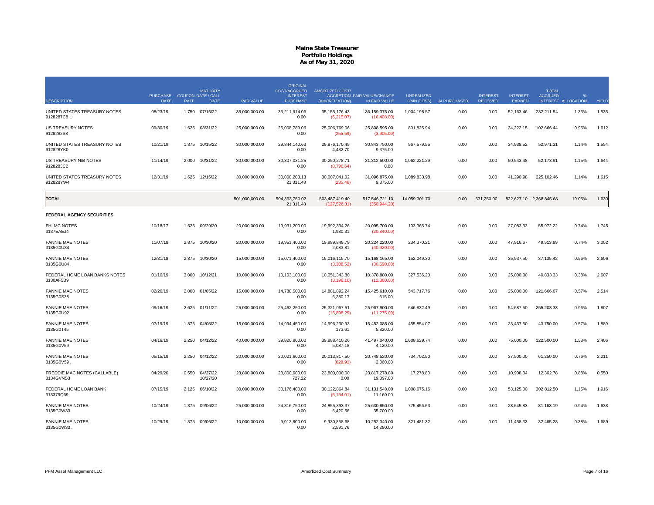| <b>DESCRIPTION</b>                         | PURCHASE COUPON DATE / CALL<br><b>DATE</b> | <b>RATE</b> | <b>MATURITY</b><br><b>DATE</b> | <b>PAR VALUE</b> | <b>ORIGINAL</b><br><b>COST/ACCRUED</b><br><b>INTEREST</b><br><b>PURCHASE</b> | <b>AMORTIZED COST/</b><br>(AMORTIZATION) | <b>ACCRETION FAIR VALUE/CHANGE</b><br>IN FAIR VALUE | <b>UNREALIZED</b><br><b>GAIN (LOSS)</b> | AI PURCHASED | <b>INTEREST</b><br><b>RECEIVED</b> | <b>INTEREST</b><br>EARNED | <b>TOTAL</b><br><b>ACCRUED</b> | $O_{\Lambda}$<br>INTEREST ALLOCATION | YIELD |
|--------------------------------------------|--------------------------------------------|-------------|--------------------------------|------------------|------------------------------------------------------------------------------|------------------------------------------|-----------------------------------------------------|-----------------------------------------|--------------|------------------------------------|---------------------------|--------------------------------|--------------------------------------|-------|
| UNITED STATES TREASURY NOTES               | 08/23/19                                   | 1.750       | 07/15/22                       | 35,000,000.00    | 35,211,914.06                                                                | 35, 155, 176. 43                         | 36, 159, 375.00                                     | 1,004,198.57                            | 0.00         | 0.00                               | 52,163.46                 | 232,211.54                     | 1.33%                                | 1.535 |
| 9128287C8                                  |                                            |             |                                |                  | 0.00                                                                         | (6,215.07)                               | (16, 408.00)                                        |                                         |              |                                    |                           |                                |                                      |       |
| <b>US TREASURY NOTES</b><br>9128282S8      | 09/30/19                                   | 1.625       | 08/31/22                       | 25,000,000.00    | 25,008,789.06<br>0.00                                                        | 25,006,769.06<br>(255.59)                | 25,808,595.00<br>(3,905.00)                         | 801,825.94                              | 0.00         | 0.00                               | 34.222.15                 | 102,666.44                     | 0.95%                                | 1.612 |
| UNITED STATES TREASURY NOTES<br>912828YK0  | 10/21/19                                   | 1.375       | 10/15/22                       | 30,000,000.00    | 29.844.140.63<br>0.00                                                        | 29.876.170.45<br>4,432.70                | 30.843.750.00<br>9,375.00                           | 967,579.55                              | 0.00         | 0.00                               | 34,938.52                 | 52,971.31                      | 1.14%                                | 1.554 |
| US TREASURY N/B NOTES<br>9128283C2         | 11/14/19                                   | 2.000       | 10/31/22                       | 30,000,000.00    | 30,307,031.25<br>0.00                                                        | 30,250,278.71<br>(8,796.64)              | 31,312,500.00<br>0.00                               | 1,062,221.29                            | 0.00         | 0.00                               | 50.543.48                 | 52,173.91                      | 1.15%                                | 1.644 |
| UNITED STATES TREASURY NOTES<br>912828YW4  | 12/31/19                                   | 1.625       | 12/15/22                       | 30,000,000.00    | 30,008,203.13<br>21,311.48                                                   | 30,007,041.02<br>(235.46)                | 31,096,875.00<br>9,375.00                           | 1,089,833.98                            | 0.00         | 0.00                               | 41,290.98                 | 225,102.46                     | 1.14%                                | 1.615 |
| <b>TOTAL</b>                               |                                            |             |                                | 501,000,000.00   | 504,363,750.02<br>21,311.48                                                  | 503,487,419.40<br>(127, 526.31)          | 517,546,721.10<br>(350, 944.20)                     | 14,059,301.70                           | 0.00         | 531,250.00                         |                           | 822,627.10 2,368,845.68        | 19.05%                               | 1.630 |
| <b>FEDERAL AGENCY SECURITIES</b>           |                                            |             |                                |                  |                                                                              |                                          |                                                     |                                         |              |                                    |                           |                                |                                      |       |
| <b>FHLMC NOTES</b><br>3137EAEJ4            | 10/18/17                                   | 1.625       | 09/29/20                       | 20,000,000.00    | 19,931,200.00<br>0.00                                                        | 19,992,334.26<br>1,980.31                | 20,095,700.00<br>(20, 840.00)                       | 103,365.74                              | 0.00         | 0.00                               | 27,083.33                 | 55,972.22                      | 0.74%                                | 1.745 |
| <b>FANNIE MAE NOTES</b><br>3135G0U84       | 11/07/18                                   | 2.875       | 10/30/20                       | 20,000,000.00    | 19,951,400.00<br>0.00                                                        | 19,989,849.79<br>2,083.81                | 20,224,220.00<br>(40,920.00)                        | 234,370.21                              | 0.00         | 0.00                               | 47,916.67                 | 49,513.89                      | 0.74%                                | 3.002 |
| <b>FANNIE MAE NOTES</b><br>3135G0U84       | 12/31/18                                   | 2.875       | 10/30/20                       | 15,000,000.00    | 15,071,400.00<br>0.00                                                        | 15,016,115.70<br>(3,308.52)              | 15,168,165.00<br>(30,690.00)                        | 152,049.30                              | 0.00         | 0.00                               | 35,937.50                 | 37,135.42                      | 0.56%                                | 2.606 |
| FEDERAL HOME LOAN BANKS NOTES<br>3130AF5B9 | 01/16/19                                   | 3.000       | 10/12/21                       | 10,000,000.00    | 10,103,100.00<br>0.00                                                        | 10,051,343.80<br>(3, 196.10)             | 10,378,880.00<br>(12,860.00)                        | 327,536.20                              | 0.00         | 0.00                               | 25,000.00                 | 40,833.33                      | 0.38%                                | 2.607 |
| <b>FANNIE MAE NOTES</b><br>3135G0S38       | 02/26/19                                   | 2.000       | 01/05/22                       | 15,000,000.00    | 14,788,500.00<br>0.00                                                        | 14.881.892.24<br>6,280.17                | 15,425,610.00<br>615.00                             | 543,717.76                              | 0.00         | 0.00                               | 25,000.00                 | 121,666.67                     | 0.57%                                | 2.514 |
| <b>FANNIE MAE NOTES</b><br>3135G0U92       | 09/16/19                                   |             | 2.625 01/11/22                 | 25,000,000.00    | 25,462,250.00<br>0.00                                                        | 25,321,067.51<br>(16,898.29)             | 25,967,900.00<br>(11, 275.00)                       | 646,832.49                              | 0.00         | 0.00                               | 54,687.50                 | 255.208.33                     | 0.96%                                | 1.807 |
| <b>FANNIE MAE NOTES</b><br>3135G0T45       | 07/19/19                                   | 1.875       | 04/05/22                       | 15,000,000.00    | 14.994.450.00<br>0.00                                                        | 14.996.230.93<br>173.61                  | 15.452.085.00<br>5,820.00                           | 455.854.07                              | 0.00         | 0.00                               | 23,437.50                 | 43,750.00                      | 0.57%                                | 1.889 |
| <b>FANNIE MAE NOTES</b><br>3135G0V59       | 04/16/19                                   | 2.250       | 04/12/22                       | 40,000,000.00    | 39,820,800.00<br>0.00                                                        | 39,888,410.26<br>5,087.18                | 41,497,040.00<br>4,120.00                           | 1,608,629.74                            | 0.00         | 0.00                               | 75,000.00                 | 122,500.00                     | 1.53%                                | 2.406 |
| <b>FANNIE MAE NOTES</b><br>3135G0V59.      | 05/15/19                                   | 2.250       | 04/12/22                       | 20,000,000.00    | 20,021,600.00<br>0.00                                                        | 20,013,817.50<br>(629.91)                | 20,748,520.00<br>2.060.00                           | 734,702.50                              | 0.00         | 0.00                               | 37,500.00                 | 61,250.00                      | 0.76%                                | 2.211 |
| FREDDIE MAC NOTES (CALLABLE)<br>3134GVNS3  | 04/29/20                                   | 0.550       | 04/27/22<br>10/27/20           | 23,800,000.00    | 23,800,000.00<br>727.22                                                      | 23,800,000.00<br>0.00                    | 23,817,278.80<br>19,397.00                          | 17,278.80                               | 0.00         | 0.00                               | 10,908.34                 | 12,362.78                      | 0.88%                                | 0.550 |
| FEDERAL HOME LOAN BANK<br>313379Q69        | 07/15/19                                   | 2.125       | 06/10/22                       | 30,000,000.00    | 30,176,400.00<br>0.00                                                        | 30,122,864.84<br>(5, 154.01)             | 31,131,540.00<br>11,160.00                          | 1,008,675.16                            | 0.00         | 0.00                               | 53,125.00                 | 302,812.50                     | 1.15%                                | 1.916 |
| <b>FANNIE MAE NOTES</b><br>3135G0W33       | 10/24/19                                   | 1.375       | 09/06/22                       | 25,000,000.00    | 24,816,750.00<br>0.00                                                        | 24,855,393.37<br>5,420.56                | 25,630,850.00<br>35,700.00                          | 775,456.63                              | 0.00         | 0.00                               | 28,645.83                 | 81,163.19                      | 0.94%                                | 1.638 |
| <b>FANNIE MAE NOTES</b><br>3135G0W33       | 10/29/19                                   |             | 1.375 09/06/22                 | 10,000,000.00    | 9,912,800.00<br>0.00                                                         | 9,930,858.68<br>2,591.76                 | 10,252,340.00<br>14,280.00                          | 321,481.32                              | 0.00         | 0.00                               | 11,458.33                 | 32,465.28                      | 0.38%                                | 1.689 |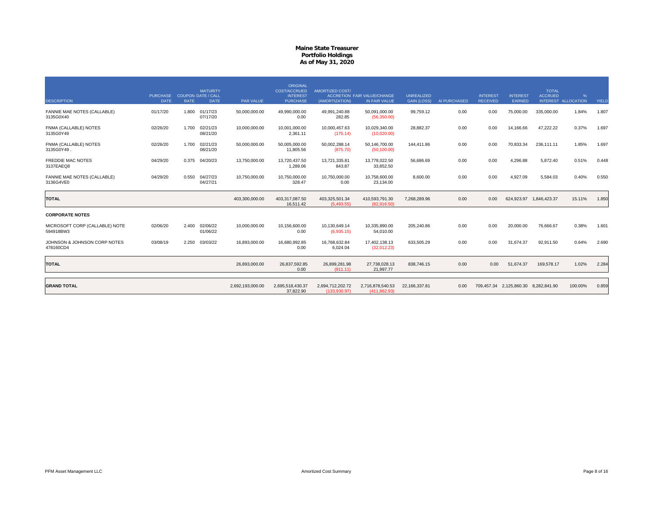| <b>DESCRIPTION</b>                          | <b>PURCHASE</b><br><b>DATE</b> | <b>RATE</b> | <b>MATURITY</b><br><b>COUPON DATE / CALL</b><br><b>DATE</b> | <b>PAR VALUE</b> | <b>ORIGINAL</b><br>COST/ACCRUED<br><b>INTEREST</b><br><b>PURCHASE</b> | <b>AMORTIZED COST/</b><br>(AMORTIZATION) | ACCRETION FAIR VALUE/CHANGE<br>IN FAIR VALUE | <b>UNREALIZED</b><br><b>GAIN (LOSS)</b> | AI PURCHASED | <b>INTEREST</b><br><b>RECEIVED</b> | <b>INTEREST</b><br>EARNED            | <b>TOTAL</b><br><b>ACCRUED</b> | %<br>INTEREST ALLOCATION | YIELD |
|---------------------------------------------|--------------------------------|-------------|-------------------------------------------------------------|------------------|-----------------------------------------------------------------------|------------------------------------------|----------------------------------------------|-----------------------------------------|--------------|------------------------------------|--------------------------------------|--------------------------------|--------------------------|-------|
| FANNIE MAE NOTES (CALLABLE)<br>3135G0X40    | 01/17/20                       | 1.800       | 01/17/23<br>07/17/20                                        | 50,000,000.00    | 49.990.000.00<br>0.00                                                 | 49.991.240.88<br>282.85                  | 50.091.000.00<br>(56,350.00)                 | 99.759.12                               | 0.00         | 0.00                               | 75,000.00                            | 335,000,00                     | 1.84%                    | 1.807 |
| FNMA (CALLABLE) NOTES<br>3135G0Y49          | 02/26/20                       | 1.700       | 02/21/23<br>08/21/20                                        | 10,000,000.00    | 10,001,000.00<br>2,361.11                                             | 10,000,457.63<br>(175.14)                | 10,029,340.00<br>(10,020.00)                 | 28.882.37                               | 0.00         | 0.00                               | 14,166.66                            | 47,222.22                      | 0.37%                    | 1.697 |
| FNMA (CALLABLE) NOTES<br>3135G0Y49.         | 02/26/20                       | 1.700       | 02/21/23<br>08/21/20                                        | 50,000,000.00    | 50,005,000.00<br>11,805.56                                            | 50,002,288.14<br>(875.70)                | 50,146,700.00<br>(50, 100.00)                | 144,411.86                              | 0.00         | 0.00                               | 70,833.34                            | 236,111.11                     | 1.85%                    | 1.697 |
| FREDDIE MAC NOTES<br>3137EAEQ8              | 04/29/20                       | 0.375       | 04/20/23                                                    | 13,750,000.00    | 13,720,437.50<br>1,289.06                                             | 13,721,335.81<br>843.87                  | 13,778,022.50<br>33,852.50                   | 56,686.69                               | 0.00         | 0.00                               | 4,296.88                             | 5,872.40                       | 0.51%                    | 0.448 |
| FANNIE MAE NOTES (CALLABLE)<br>3136G4VE0    | 04/29/20                       | 0.550       | 04/27/23<br>04/27/21                                        | 10,750,000.00    | 10,750,000.00<br>328.47                                               | 10,750,000.00<br>0.00                    | 10.758.600.00<br>23,134.00                   | 8.600.00                                | 0.00         | 0.00                               | 4.927.09                             | 5.584.03                       | 0.40%                    | 0.550 |
| <b>TOTAL</b>                                |                                |             |                                                             | 403,300,000.00   | 403,317,087.50<br>16,511.42                                           | 403,325,501.34<br>(5.493.55)             | 410,593,791.30<br>(82.916.50)                | 7,268,289.96                            | 0.00         | 0.00                               |                                      | 624,923.97 1,846,423.37        | 15.11%                   | 1.850 |
| <b>CORPORATE NOTES</b>                      |                                |             |                                                             |                  |                                                                       |                                          |                                              |                                         |              |                                    |                                      |                                |                          |       |
| MICROSOFT CORP (CALLABLE) NOTE<br>594918BW3 | 02/06/20                       | 2.400       | 02/06/22<br>01/06/22                                        | 10,000,000.00    | 10,156,600.00<br>0.00                                                 | 10,130,649.14<br>(6,935.15)              | 10.335.890.00<br>54,010.00                   | 205,240.86                              | 0.00         | 0.00                               | 20,000.00                            | 76,666.67                      | 0.38%                    | 1.601 |
| JOHNSON & JOHNSON CORP NOTES<br>478160CD4   | 03/08/19                       | 2.250       | 03/03/22                                                    | 16,893,000.00    | 16,680,992.85<br>0.00                                                 | 16.768.632.84<br>6,024.04                | 17,402,138.13<br>(32,012.23)                 | 633.505.29                              | 0.00         | 0.00                               | 31,674.37                            | 92,911.50                      | 0.64%                    | 2.690 |
| <b>TOTAL</b>                                |                                |             |                                                             | 26,893,000.00    | 26,837,592.85<br>0.00                                                 | 26,899,281.98<br>(911.11)                | 27,738,028.13<br>21,997.77                   | 838,746.15                              | 0.00         | 0.00                               | 51,674.37                            | 169,578.17                     | 1.02%                    | 2.284 |
| <b>GRAND TOTAL</b>                          |                                |             |                                                             | 2,692,193,000.00 | 2,695,518,430.37<br>37,822.90                                         | 2,694,712,202.72<br>(133,930.97)         | 2,716,878,540.53<br>(411, 862.93)            | 22,166,337.81                           | 0.00         |                                    | 709,457.34 2,125,860.30 8,282,841.90 |                                | 100.00%                  | 0.859 |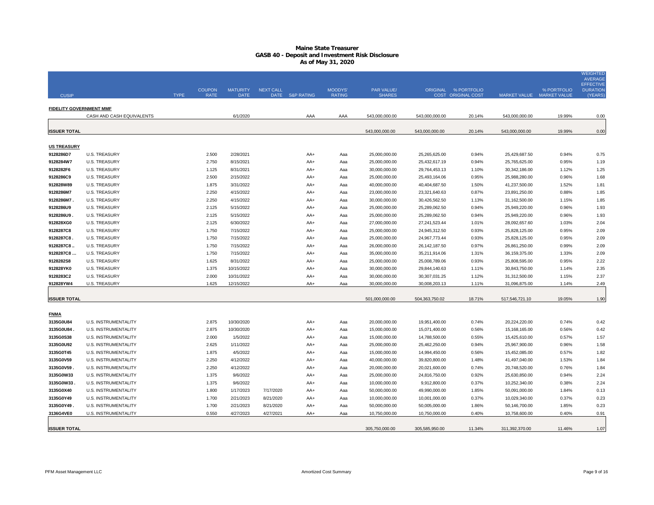| <b>CUSIP</b>                    |                                              | <b>COUPON</b><br><b>TYPE</b> | <b>MATURITY</b><br><b>RATE</b><br><b>DATE</b> | <b>NEXT CALL</b> | DATE S&P RATING | MOODYS'<br><b>RATING</b> | PAR VALUE/<br><b>SHARES</b>    |                                | ORIGINAL % PORTFOLIO<br><b>COST ORIGINAL COST</b> | MARKET VALUE MARKET VALUE      | % PORTFOLIO    | <b>WEIGHTED</b><br><b>AVERAGE</b><br><b>EFFECTIVE</b><br><b>DURATION</b><br>(YEARS |
|---------------------------------|----------------------------------------------|------------------------------|-----------------------------------------------|------------------|-----------------|--------------------------|--------------------------------|--------------------------------|---------------------------------------------------|--------------------------------|----------------|------------------------------------------------------------------------------------|
| <b>FIDELITY GOVERNMENT MMF</b>  |                                              |                              |                                               |                  |                 |                          |                                |                                |                                                   |                                |                |                                                                                    |
|                                 | CASH AND CASH EQUIVALENTS                    |                              | 6/1/2020                                      |                  | AAA             | AAA                      | 543,000,000.00                 | 543,000,000.00                 | 20.14%                                            | 543,000,000.00                 | 19.99%         | 0.00                                                                               |
| <b>ISSUER TOTAL</b>             |                                              |                              |                                               |                  |                 |                          | 543,000,000.00                 | 543,000,000.00                 | 20.14%                                            | 543,000,000.00                 | 19.99%         | 0.00                                                                               |
|                                 |                                              |                              |                                               |                  |                 |                          |                                |                                |                                                   |                                |                |                                                                                    |
| <b>US TREASURY</b><br>9128286D7 | <b>U.S. TREASURY</b>                         |                              | 2.500<br>2/28/2021                            |                  | AA+             | Aaa                      | 25,000,000.00                  | 25,265,625.00                  | 0.94%                                             | 25,429,687.50                  | 0.94%          | 0.75                                                                               |
| 9128284W7                       | <b>U.S. TREASURY</b>                         |                              | 2.750<br>8/15/2021                            |                  | AA+             | Aaa                      | 25,000,000.00                  | 25,432,617.19                  | 0.94%                                             | 25,765,625.00                  | 0.95%          | 1.19                                                                               |
| 9128282F6                       | <b>U.S. TREASURY</b>                         |                              | 8/31/2021<br>1.125                            |                  | AA+             | Aaa                      | 30,000,000.00                  | 29,764,453.13                  | 1.10%                                             | 30,342,186.00                  | 1.12%          | 1.25                                                                               |
| 9128286C9                       | <b>U.S. TREASURY</b>                         |                              | 2.500<br>2/15/2022                            |                  | AA+             | Aaa                      | 25,000,000.00                  | 25,493,164.06                  | 0.95%                                             | 25,988,280.00                  | 0.96%          | 1.68                                                                               |
| 912828W89                       | <b>U.S. TREASURY</b>                         |                              | 1.875<br>3/31/2022                            |                  | AA+             | Aaa                      | 40,000,000.00                  | 40,404,687.50                  | 1.50%                                             | 41,237,500.00                  | 1.52%          | 1.81                                                                               |
| 9128286M7                       | <b>U.S. TREASURY</b>                         |                              | 2.250<br>4/15/2022                            |                  | AA+             | Aaa                      | 23,000,000.00                  | 23,321,640.63                  | 0.87%                                             | 23,891,250.00                  | 0.88%          | 1.85                                                                               |
| 9128286M7.                      | <b>U.S. TREASURY</b>                         |                              | 2.250<br>4/15/2022                            |                  | AA+             | Aaa                      | 30,000,000.00                  | 30,426,562.50                  | 1.13%                                             | 31,162,500.00                  | 1.15%          | 1.85                                                                               |
| 9128286U9                       | <b>U.S. TREASURY</b>                         |                              | 2.125<br>5/15/2022                            |                  | $AA+$           | Aaa                      | 25,000,000.00                  | 25,289,062.50                  | 0.94%                                             | 25,949,220.00                  | 0.96%          | 1.93                                                                               |
| 9128286U9.                      | <b>U.S. TREASURY</b>                         |                              | 2.125<br>5/15/2022                            |                  | AA+             | Aaa                      | 25,000,000.00                  | 25,289,062.50                  | 0.94%                                             | 25,949,220.00                  | 0.96%          | 1.93                                                                               |
| 912828XG0                       | <b>U.S. TREASURY</b>                         |                              | 2.125<br>6/30/2022                            |                  | AA+             | Aaa                      | 27,000,000.00                  | 27,241,523.44                  | 1.01%                                             | 28,092,657.60                  | 1.03%          | 2.04                                                                               |
| 9128287C8<br>9128287C8          | <b>U.S. TREASURY</b><br><b>U.S. TREASURY</b> |                              | 7/15/2022<br>1.750<br>1.750<br>7/15/2022      |                  | AA+<br>AA+      | Aaa<br>Aaa               | 25,000,000.00<br>25,000,000.00 | 24,945,312.50<br>24,967,773.44 | 0.93%<br>0.93%                                    | 25,828,125.00<br>25,828,125.00 | 0.95%<br>0.95% | 2.09<br>2.09                                                                       |
| 9128287C8                       | <b>U.S. TREASURY</b>                         |                              | 1.750<br>7/15/2022                            |                  | $AA+$           | Aaa                      | 26,000,000.00                  | 26, 142, 187.50                | 0.97%                                             | 26,861,250.00                  | 0.99%          | 2.09                                                                               |
| 9128287C8                       | <b>U.S. TREASURY</b>                         |                              | 1.750<br>7/15/2022                            |                  | AA+             | Aaa                      | 35,000,000.00                  | 35,211,914.06                  | 1.31%                                             | 36, 159, 375.00                | 1.33%          | 2.09                                                                               |
| 9128282S8                       | <b>U.S. TREASURY</b>                         |                              | 1.625<br>8/31/2022                            |                  | AA+             | Aaa                      | 25,000,000.00                  | 25,008,789.06                  | 0.93%                                             | 25,808,595.00                  | 0.95%          | 2.22                                                                               |
| 912828YK0                       | <b>U.S. TREASURY</b>                         |                              | 1.375<br>10/15/2022                           |                  | AA+             | Aaa                      | 30,000,000.00                  | 29,844,140.63                  | 1.11%                                             | 30,843,750.00                  | 1.14%          | 2.35                                                                               |
| 9128283C2                       | <b>U.S. TREASURY</b>                         |                              | 2.000<br>10/31/2022                           |                  | AA+             | Aaa                      | 30,000,000.00                  | 30,307,031.25                  | 1.12%                                             | 31,312,500.00                  | 1.15%          | 2.37                                                                               |
| 912828YW4                       | <b>U.S. TREASURY</b>                         |                              | 1.625<br>12/15/2022                           |                  | AA+             | Aaa                      | 30,000,000.00                  | 30,008,203.13                  | 1.11%                                             | 31,096,875.00                  | 1.14%          | 2.49                                                                               |
| <b>ISSUER TOTAL</b>             |                                              |                              |                                               |                  |                 |                          | 501,000,000.00                 | 504,363,750.02                 | 18.71%                                            | 517,546,721.10                 | 19.05%         | 1.90                                                                               |
|                                 |                                              |                              |                                               |                  |                 |                          |                                |                                |                                                   |                                |                |                                                                                    |
| <b>FNMA</b>                     |                                              |                              |                                               |                  |                 |                          |                                |                                |                                                   |                                |                |                                                                                    |
| 3135G0U84                       | <b>U.S. INSTRUMENTALITY</b>                  |                              | 2.875<br>10/30/2020                           |                  | AA+             | Aaa                      | 20,000,000.00                  | 19,951,400.00                  | 0.74%                                             | 20,224,220.00                  | 0.74%          | 0.42                                                                               |
| 3135G0U84                       | U.S. INSTRUMENTALITY                         |                              | 2.875<br>10/30/2020                           |                  | AA+             | Aaa                      | 15,000,000.00                  | 15,071,400.00                  | 0.56%                                             | 15,168,165.00                  | 0.56%          | 0.42                                                                               |
| 3135G0S38                       | U.S. INSTRUMENTALITY                         |                              | 1/5/2022<br>2.000                             |                  | AA+             | Aaa                      | 15,000,000.00                  | 14,788,500.00                  | 0.55%                                             | 15,425,610.00                  | 0.57%          | 1.57                                                                               |
| 3135G0U92                       | U.S. INSTRUMENTALITY                         |                              | 2.625<br>1/11/2022                            |                  | AA+             | Aaa                      | 25,000,000.00                  | 25,462,250.00                  | 0.94%                                             | 25,967,900.00                  | 0.96%          | 1.58                                                                               |
| 3135G0T45                       | U.S. INSTRUMENTALITY                         |                              | 4/5/2022<br>1.875                             |                  | $AA+$           | Aaa                      | 15,000,000.00                  | 14,994,450.00                  | 0.56%                                             | 15,452,085.00                  | 0.57%          | 1.82                                                                               |
| 3135G0V59<br>3135G0V59.         | U.S. INSTRUMENTALITY<br>U.S. INSTRUMENTALITY |                              | 2.250<br>4/12/2022<br>2.250<br>4/12/2022      |                  | AA+<br>AA+      | Aaa<br>Aaa               | 40,000,000.00<br>20,000,000.00 | 39,820,800.00<br>20,021,600.00 | 1.48%<br>0.74%                                    | 41,497,040.00<br>20,748,520.00 | 1.53%<br>0.76% | 1.84<br>1.84                                                                       |
| 3135G0W33                       | U.S. INSTRUMENTALITY                         |                              | 1.375<br>9/6/2022                             |                  | AA+             | Aaa                      | 25,000,000.00                  | 24,816,750.00                  | 0.92%                                             | 25,630,850.00                  | 0.94%          | 2.24                                                                               |
| 3135G0W33                       | U.S. INSTRUMENTALITY                         |                              | 1.375<br>9/6/2022                             |                  | AA+             | Aaa                      | 10,000,000.00                  | 9,912,800.00                   | 0.37%                                             | 10,252,340.00                  | 0.38%          | 2.24                                                                               |
| 3135G0X40                       | U.S. INSTRUMENTALITY                         |                              | 1.800<br>1/17/2023                            | 7/17/2020        | AA+             | Aaa                      | 50,000,000.00                  | 49,990,000.00                  | 1.85%                                             | 50,091,000.00                  | 1.84%          | 0.13                                                                               |
| 3135G0Y49                       | U.S. INSTRUMENTALITY                         |                              | 1.700<br>2/21/2023                            | 8/21/2020        | AA+             | Aaa                      | 10,000,000.00                  | 10,001,000.00                  | 0.37%                                             | 10,029,340.00                  | 0.37%          | 0.23                                                                               |
| 3135G0Y49.                      | U.S. INSTRUMENTALITY                         |                              | 2/21/2023<br>1.700                            | 8/21/2020        | AA+             | Aaa                      | 50,000,000.00                  | 50,005,000.00                  | 1.86%                                             | 50,146,700.00                  | 1.85%          | 0.23                                                                               |
| 3136G4VE0                       | U.S. INSTRUMENTALITY                         |                              | 0.550<br>4/27/2023                            | 4/27/2021        | $AA+$           | Aaa                      | 10,750,000.00                  | 10,750,000.00                  | 0.40%                                             | 10,758,600.00                  | 0.40%          | 0.91                                                                               |
| <b>ISSUER TOTAL</b>             |                                              |                              |                                               |                  |                 |                          | 305,750,000.00                 | 305,585,950.00                 | 11.34%                                            | 311,392,370.00                 | 11.46%         | 1.07                                                                               |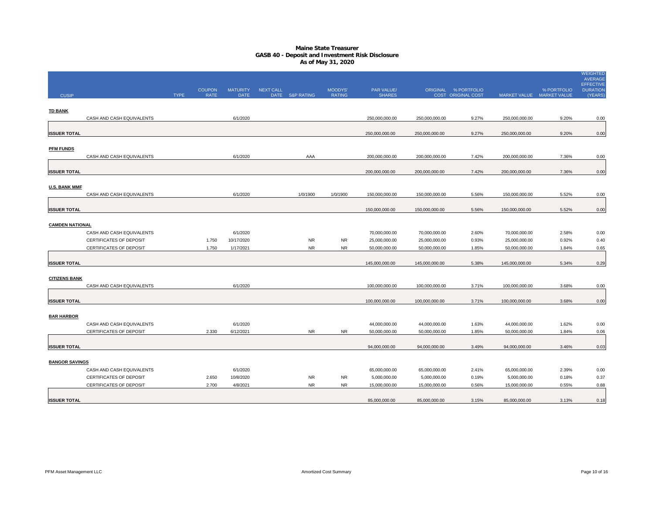|                        |                           |             |               |                 |                  |                 |               |                             |                |                                            |                           |             | WEIGHTED<br><b>AVERAGE</b>          |
|------------------------|---------------------------|-------------|---------------|-----------------|------------------|-----------------|---------------|-----------------------------|----------------|--------------------------------------------|---------------------------|-------------|-------------------------------------|
| <b>CUSIP</b>           |                           |             | <b>COUPON</b> | <b>MATURITY</b> | <b>NEXT CALL</b> |                 | MOODYS'       | PAR VALUE/<br><b>SHARES</b> |                | ORIGINAL % PORTFOLIO<br>COST ORIGINAL COST |                           | % PORTFOLIO | <b>EFFECTIVE</b><br><b>DURATION</b> |
|                        |                           | <b>TYPE</b> | <b>RATE</b>   | <b>DATE</b>     |                  | DATE S&P RATING | <b>RATING</b> |                             |                |                                            | MARKET VALUE MARKET VALUE |             | (YEARS)                             |
| <b>TD BANK</b>         |                           |             |               |                 |                  |                 |               |                             |                |                                            |                           |             |                                     |
|                        | CASH AND CASH EQUIVALENTS |             |               | 6/1/2020        |                  |                 |               | 250,000,000.00              | 250,000,000.00 | 9.27%                                      | 250,000,000.00            | 9.20%       | 0.00                                |
|                        |                           |             |               |                 |                  |                 |               |                             |                |                                            |                           |             |                                     |
| <b>ISSUER TOTAL</b>    |                           |             |               |                 |                  |                 |               | 250,000,000.00              | 250,000,000.00 | 9.27%                                      | 250,000,000.00            | 9.20%       | 0.00                                |
|                        |                           |             |               |                 |                  |                 |               |                             |                |                                            |                           |             |                                     |
| <b>PFM FUNDS</b>       |                           |             |               |                 |                  |                 |               |                             |                |                                            |                           |             |                                     |
|                        | CASH AND CASH EQUIVALENTS |             |               | 6/1/2020        |                  | AAA             |               | 200,000,000.00              | 200,000,000.00 | 7.42%                                      | 200,000,000.00            | 7.36%       | 0.00                                |
|                        |                           |             |               |                 |                  |                 |               |                             |                |                                            |                           |             |                                     |
| <b>ISSUER TOTAL</b>    |                           |             |               |                 |                  |                 |               | 200,000,000.00              | 200,000,000.00 | 7.42%                                      | 200,000,000.00            | 7.36%       | 0.00                                |
| <b>U.S. BANK MMF</b>   |                           |             |               |                 |                  |                 |               |                             |                |                                            |                           |             |                                     |
|                        | CASH AND CASH EQUIVALENTS |             |               | 6/1/2020        |                  | 1/0/1900        | 1/0/1900      | 150,000,000.00              | 150,000,000.00 | 5.56%                                      | 150,000,000.00            | 5.52%       | 0.00                                |
|                        |                           |             |               |                 |                  |                 |               |                             |                |                                            |                           |             |                                     |
| <b>ISSUER TOTAL</b>    |                           |             |               |                 |                  |                 |               | 150,000,000.00              | 150,000,000.00 | 5.56%                                      | 150,000,000.00            | 5.52%       | 0.00                                |
|                        |                           |             |               |                 |                  |                 |               |                             |                |                                            |                           |             |                                     |
| <b>CAMDEN NATIONAL</b> |                           |             |               |                 |                  |                 |               |                             |                |                                            |                           |             |                                     |
|                        | CASH AND CASH EQUIVALENTS |             |               | 6/1/2020        |                  |                 |               | 70,000,000.00               | 70,000,000.00  | 2.60%                                      | 70,000,000.00             | 2.58%       | 0.00                                |
|                        | CERTIFICATES OF DEPOSIT   |             | 1.750         | 10/17/2020      |                  | <b>NR</b>       | <b>NR</b>     | 25,000,000.00               | 25,000,000.00  | 0.93%                                      | 25,000,000.00             | 0.92%       | 0.40                                |
|                        | CERTIFICATES OF DEPOSIT   |             | 1.750         | 1/17/2021       |                  | <b>NR</b>       | <b>NR</b>     | 50,000,000.00               | 50,000,000.00  | 1.85%                                      | 50,000,000.00             | 1.84%       | 0.65                                |
|                        |                           |             |               |                 |                  |                 |               |                             |                |                                            |                           |             |                                     |
| <b>ISSUER TOTAL</b>    |                           |             |               |                 |                  |                 |               | 145,000,000.00              | 145,000,000.00 | 5.38%                                      | 145,000,000.00            | 5.34%       | 0.29                                |
| <b>CITIZENS BANK</b>   |                           |             |               |                 |                  |                 |               |                             |                |                                            |                           |             |                                     |
|                        | CASH AND CASH EQUIVALENTS |             |               | 6/1/2020        |                  |                 |               | 100,000,000.00              | 100,000,000.00 | 3.71%                                      | 100,000,000.00            | 3.68%       | 0.00                                |
|                        |                           |             |               |                 |                  |                 |               |                             |                |                                            |                           |             |                                     |
| <b>ISSUER TOTAL</b>    |                           |             |               |                 |                  |                 |               | 100,000,000.00              | 100,000,000.00 | 3.71%                                      | 100,000,000.00            | 3.68%       | 0.00                                |
|                        |                           |             |               |                 |                  |                 |               |                             |                |                                            |                           |             |                                     |
| <b>BAR HARBOR</b>      |                           |             |               |                 |                  |                 |               |                             |                |                                            |                           |             |                                     |
|                        | CASH AND CASH EQUIVALENTS |             |               | 6/1/2020        |                  |                 |               | 44,000,000.00               | 44,000,000.00  | 1.63%                                      | 44,000,000.00             | 1.62%       | 0.00                                |
|                        | CERTIFICATES OF DEPOSIT   |             | 2.330         | 6/12/2021       |                  | <b>NR</b>       | <b>NR</b>     | 50,000,000.00               | 50,000,000.00  | 1.85%                                      | 50,000,000.00             | 1.84%       | 0.06                                |
|                        |                           |             |               |                 |                  |                 |               |                             |                |                                            |                           |             |                                     |
| <b>ISSUER TOTAL</b>    |                           |             |               |                 |                  |                 |               | 94,000,000.00               | 94,000,000.00  | 3.49%                                      | 94,000,000.00             | 3.46%       | 0.03                                |
|                        |                           |             |               |                 |                  |                 |               |                             |                |                                            |                           |             |                                     |
| <b>BANGOR SAVINGS</b>  | CASH AND CASH EQUIVALENTS |             |               | 6/1/2020        |                  |                 |               | 65,000,000.00               | 65,000,000.00  | 2.41%                                      | 65,000,000.00             | 2.39%       | 0.00                                |
|                        | CERTIFICATES OF DEPOSIT   |             | 2.650         | 10/8/2020       |                  | <b>NR</b>       | <b>NR</b>     | 5,000,000.00                | 5,000,000.00   | 0.19%                                      | 5,000,000.00              | 0.18%       | 0.37                                |
|                        | CERTIFICATES OF DEPOSIT   |             | 2.700         | 4/8/2021        |                  | <b>NR</b>       | <b>NR</b>     | 15,000,000.00               | 15,000,000.00  | 0.56%                                      | 15,000,000.00             | 0.55%       | 0.88                                |
|                        |                           |             |               |                 |                  |                 |               |                             |                |                                            |                           |             |                                     |
| <b>ISSUER TOTAL</b>    |                           |             |               |                 |                  |                 |               | 85,000,000.00               | 85.000.000.00  | 3.15%                                      | 85,000,000.00             | 3.13%       | 0.18                                |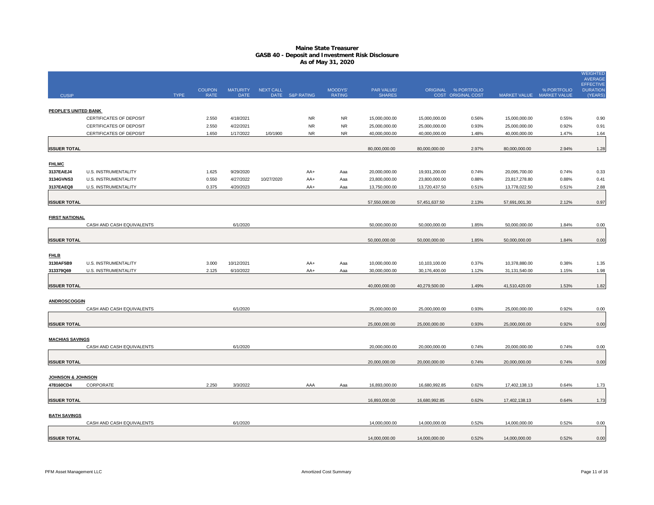|                              |                                                    |             |                              |                                |                  |                        |                          |                                |                                |                                            |                                |                                          | <b>WEIGHTED</b><br><b>AVERAGE</b><br><b>EFFECTIVE</b> |
|------------------------------|----------------------------------------------------|-------------|------------------------------|--------------------------------|------------------|------------------------|--------------------------|--------------------------------|--------------------------------|--------------------------------------------|--------------------------------|------------------------------------------|-------------------------------------------------------|
| <b>CUSIP</b>                 |                                                    | <b>TYPE</b> | <b>COUPON</b><br><b>RATE</b> | <b>MATURITY</b><br><b>DATE</b> | <b>NEXT CALL</b> | DATE S&P RATING        | MOODYS'<br><b>RATING</b> | PAR VALUE/<br><b>SHARES</b>    |                                | ORIGINAL % PORTFOLIO<br>COST ORIGINAL COST |                                | % PORTFOLIO<br>MARKET VALUE MARKET VALUE | <b>DURATION</b><br>(YEARS)                            |
|                              |                                                    |             |                              |                                |                  |                        |                          |                                |                                |                                            |                                |                                          |                                                       |
| PEOPLE'S UNITED BANK         |                                                    |             |                              |                                |                  |                        |                          |                                |                                |                                            |                                |                                          |                                                       |
|                              | CERTIFICATES OF DEPOSIT                            |             | 2.550                        | 4/18/2021                      |                  | <b>NR</b>              | <b>NR</b>                | 15,000,000.00                  | 15,000,000.00                  | 0.56%                                      | 15,000,000.00                  | 0.55%                                    | 0.90                                                  |
|                              | CERTIFICATES OF DEPOSIT<br>CERTIFICATES OF DEPOSIT |             | 2.550<br>1.650               | 4/22/2021<br>1/17/2022         | 1/0/1900         | <b>NR</b><br><b>NR</b> | <b>NR</b><br><b>NR</b>   | 25,000,000.00<br>40,000,000.00 | 25,000,000.00<br>40,000,000.00 | 0.93%<br>1.48%                             | 25,000,000.00<br>40,000,000.00 | 0.92%<br>1.47%                           | 0.91<br>1.64                                          |
|                              |                                                    |             |                              |                                |                  |                        |                          |                                |                                |                                            |                                |                                          |                                                       |
| <b>ISSUER TOTAL</b>          |                                                    |             |                              |                                |                  |                        |                          | 80,000,000.00                  | 80,000,000.00                  | 2.97%                                      | 80,000,000.00                  | 2.94%                                    | 1.28                                                  |
|                              |                                                    |             |                              |                                |                  |                        |                          |                                |                                |                                            |                                |                                          |                                                       |
| <b>FHLMC</b>                 |                                                    |             |                              |                                |                  |                        |                          |                                |                                |                                            |                                |                                          |                                                       |
| 3137EAEJ4                    | U.S. INSTRUMENTALITY                               |             | 1.625                        | 9/29/2020                      |                  | AA+                    | Aaa                      | 20,000,000.00                  | 19,931,200.00                  | 0.74%                                      | 20,095,700.00                  | 0.74%                                    | 0.33                                                  |
| 3134GVNS3<br>3137EAEQ8       | U.S. INSTRUMENTALITY<br>U.S. INSTRUMENTALITY       |             | 0.550<br>0.375               | 4/27/2022<br>4/20/2023         | 10/27/2020       | AA+<br>AA+             | Aaa<br>Aaa               | 23,800,000.00<br>13,750,000.00 | 23,800,000.00<br>13,720,437.50 | 0.88%<br>0.51%                             | 23,817,278.80<br>13,778,022.50 | 0.88%<br>0.51%                           | 0.41<br>2.88                                          |
|                              |                                                    |             |                              |                                |                  |                        |                          |                                |                                |                                            |                                |                                          |                                                       |
| <b>ISSUER TOTAL</b>          |                                                    |             |                              |                                |                  |                        |                          | 57,550,000.00                  | 57,451,637.50                  | 2.13%                                      | 57,691,001.30                  | 2.12%                                    | 0.97                                                  |
|                              |                                                    |             |                              |                                |                  |                        |                          |                                |                                |                                            |                                |                                          |                                                       |
| <b>FIRST NATIONAL</b>        |                                                    |             |                              |                                |                  |                        |                          |                                |                                |                                            |                                |                                          |                                                       |
|                              | CASH AND CASH EQUIVALENTS                          |             |                              | 6/1/2020                       |                  |                        |                          | 50,000,000.00                  | 50,000,000.00                  | 1.85%                                      | 50,000,000.00                  | 1.84%                                    | 0.00                                                  |
| <b>ISSUER TOTAL</b>          |                                                    |             |                              |                                |                  |                        |                          | 50,000,000.00                  | 50,000,000.00                  | 1.85%                                      | 50,000,000.00                  | 1.84%                                    | 0.00                                                  |
|                              |                                                    |             |                              |                                |                  |                        |                          |                                |                                |                                            |                                |                                          |                                                       |
| <b>FHLB</b>                  |                                                    |             |                              |                                |                  |                        |                          |                                |                                |                                            |                                |                                          |                                                       |
| 3130AF5B9                    | U.S. INSTRUMENTALITY                               |             | 3.000                        | 10/12/2021                     |                  | AA+                    | Aaa                      | 10,000,000.00                  | 10,103,100.00                  | 0.37%                                      | 10,378,880.00                  | 0.38%                                    | 1.35                                                  |
| 313379Q69                    | U.S. INSTRUMENTALITY                               |             | 2.125                        | 6/10/2022                      |                  | AA+                    | Aaa                      | 30,000,000.00                  | 30,176,400.00                  | 1.12%                                      | 31,131,540.00                  | 1.15%                                    | 1.98                                                  |
|                              |                                                    |             |                              |                                |                  |                        |                          |                                |                                |                                            |                                |                                          |                                                       |
| <b>ISSUER TOTAL</b>          |                                                    |             |                              |                                |                  |                        |                          | 40,000,000.00                  | 40,279,500.00                  | 1.49%                                      | 41,510,420.00                  | 1.53%                                    | 1.82                                                  |
| <b>ANDROSCOGGIN</b>          |                                                    |             |                              |                                |                  |                        |                          |                                |                                |                                            |                                |                                          |                                                       |
|                              | CASH AND CASH EQUIVALENTS                          |             |                              | 6/1/2020                       |                  |                        |                          | 25,000,000.00                  | 25,000,000.00                  | 0.93%                                      | 25,000,000.00                  | 0.92%                                    | 0.00                                                  |
|                              |                                                    |             |                              |                                |                  |                        |                          |                                |                                |                                            |                                |                                          |                                                       |
| <b>ISSUER TOTAL</b>          |                                                    |             |                              |                                |                  |                        |                          | 25,000,000.00                  | 25,000,000.00                  | 0.93%                                      | 25,000,000.00                  | 0.92%                                    | 0.00                                                  |
|                              |                                                    |             |                              |                                |                  |                        |                          |                                |                                |                                            |                                |                                          |                                                       |
| <b>MACHIAS SAVINGS</b>       | CASH AND CASH EQUIVALENTS                          |             |                              | 6/1/2020                       |                  |                        |                          | 20,000,000.00                  | 20,000,000.00                  | 0.74%                                      | 20,000,000.00                  | 0.74%                                    | 0.00                                                  |
|                              |                                                    |             |                              |                                |                  |                        |                          |                                |                                |                                            |                                |                                          |                                                       |
| <b>ISSUER TOTAL</b>          |                                                    |             |                              |                                |                  |                        |                          | 20,000,000.00                  | 20,000,000.00                  | 0.74%                                      | 20,000,000.00                  | 0.74%                                    | 0.00                                                  |
| <b>JOHNSON &amp; JOHNSON</b> |                                                    |             |                              |                                |                  |                        |                          |                                |                                |                                            |                                |                                          |                                                       |
| 478160CD4                    | CORPORATE                                          |             | 2.250                        | 3/3/2022                       |                  | AAA                    | Aaa                      | 16,893,000.00                  | 16,680,992.85                  | 0.62%                                      | 17,402,138.13                  | 0.64%                                    | 1.73                                                  |
|                              |                                                    |             |                              |                                |                  |                        |                          |                                |                                |                                            |                                |                                          |                                                       |
| <b>ISSUER TOTAL</b>          |                                                    |             |                              |                                |                  |                        |                          | 16,893,000.00                  | 16,680,992.85                  | 0.62%                                      | 17,402,138.13                  | 0.64%                                    | 1.73                                                  |
|                              |                                                    |             |                              |                                |                  |                        |                          |                                |                                |                                            |                                |                                          |                                                       |
| <b>BATH SAVINGS</b>          | CASH AND CASH EQUIVALENTS                          |             |                              |                                |                  |                        |                          | 14,000,000.00                  | 14,000,000.00                  | 0.52%                                      | 14,000,000.00                  | 0.52%                                    |                                                       |
|                              |                                                    |             |                              | 6/1/2020                       |                  |                        |                          |                                |                                |                                            |                                |                                          | 0.00                                                  |
| <b>ISSUER TOTAL</b>          |                                                    |             |                              |                                |                  |                        |                          | 14,000,000.00                  | 14,000,000.00                  | 0.52%                                      | 14,000,000.00                  | 0.52%                                    | 0.00                                                  |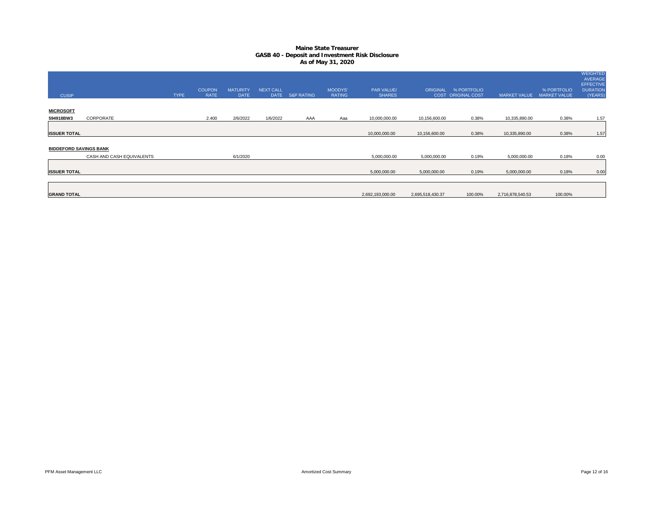| <b>CUSIP</b>                  |                           | <b>TYPE</b> | <b>COUPON</b><br><b>RATE</b> | <b>MATURITY</b><br><b>DATE</b> | <b>NEXT CALL</b><br><b>DATE</b> | <b>S&amp;P RATING</b> | <b>MOODYS'</b><br><b>RATING</b> | PAR VALUE/<br><b>SHARES</b> |                  | ORIGINAL % PORTFOLIO<br>COST ORIGINAL COST | <b>MARKET VALUE</b> | % PORTFOLIO<br><b>MARKET VALUE</b> | <b>WEIGHTED</b><br><b>AVERAGE</b><br><b>EFFECTIVE</b><br><b>DURATION</b><br>(YEARS) |
|-------------------------------|---------------------------|-------------|------------------------------|--------------------------------|---------------------------------|-----------------------|---------------------------------|-----------------------------|------------------|--------------------------------------------|---------------------|------------------------------------|-------------------------------------------------------------------------------------|
|                               |                           |             |                              |                                |                                 |                       |                                 |                             |                  |                                            |                     |                                    |                                                                                     |
| <b>MICROSOFT</b>              |                           |             |                              |                                |                                 |                       |                                 |                             |                  |                                            |                     |                                    |                                                                                     |
| 594918BW3                     | CORPORATE                 |             | 2.400                        | 2/6/2022                       | 1/6/2022                        | AAA                   | Aaa                             | 10,000,000.00               | 10,156,600.00    | 0.38%                                      | 10,335,890.00       | 0.38%                              | 1.57                                                                                |
|                               |                           |             |                              |                                |                                 |                       |                                 |                             |                  |                                            |                     |                                    |                                                                                     |
| <b>ISSUER TOTAL</b>           |                           |             |                              |                                |                                 |                       |                                 | 10,000,000.00               | 10,156,600.00    | 0.38%                                      | 10,335,890.00       | 0.38%                              | 1.57                                                                                |
|                               |                           |             |                              |                                |                                 |                       |                                 |                             |                  |                                            |                     |                                    |                                                                                     |
| <b>BIDDEFORD SAVINGS BANK</b> |                           |             |                              |                                |                                 |                       |                                 |                             |                  |                                            |                     |                                    |                                                                                     |
|                               | CASH AND CASH EQUIVALENTS |             |                              | 6/1/2020                       |                                 |                       |                                 | 5,000,000.00                | 5,000,000.00     | 0.19%                                      | 5,000,000.00        | 0.18%                              | 0.00                                                                                |
|                               |                           |             |                              |                                |                                 |                       |                                 |                             |                  |                                            |                     |                                    |                                                                                     |
| <b>ISSUER TOTAL</b>           |                           |             |                              |                                |                                 |                       |                                 | 5,000,000.00                | 5,000,000.00     | 0.19%                                      | 5,000,000.00        | 0.18%                              | 0.00                                                                                |
|                               |                           |             |                              |                                |                                 |                       |                                 |                             |                  |                                            |                     |                                    |                                                                                     |
|                               |                           |             |                              |                                |                                 |                       |                                 |                             |                  |                                            |                     |                                    |                                                                                     |
| <b>GRAND TOTAL</b>            |                           |             |                              |                                |                                 |                       |                                 | 2,692,193,000.00            | 2,695,518,430.37 | 100.00%                                    | 2,716,878,540.53    | 100.00%                            |                                                                                     |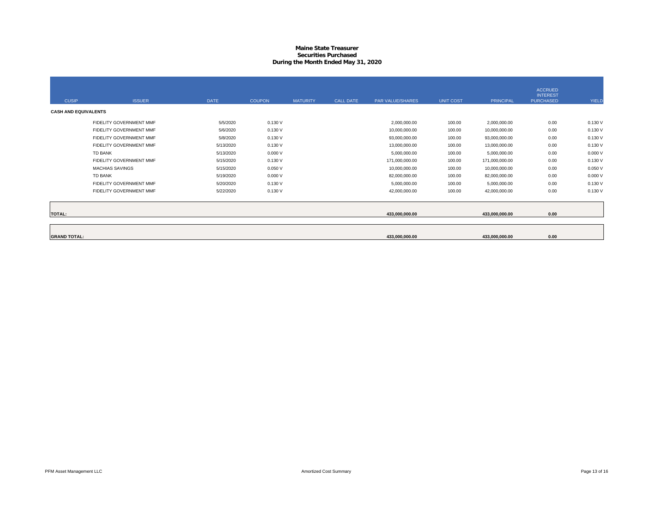#### **Maine State Treasurer Securities PurchasedDuring the Month Ended May 31, 2020**

| <b>CUSIP</b>                | <b>ISSUER</b>           | <b>DATE</b> | <b>COUPON</b> | <b>MATURITY</b> | <b>CALL DATE</b> | <b>PAR VALUE/SHARES</b> | <b>UNIT COST</b> | <b>PRINCIPAL</b> | <b>ACCRUED</b><br><b>INTEREST</b><br><b>PURCHASED</b> | YIELD   |
|-----------------------------|-------------------------|-------------|---------------|-----------------|------------------|-------------------------|------------------|------------------|-------------------------------------------------------|---------|
| <b>CASH AND EQUIVALENTS</b> |                         |             |               |                 |                  |                         |                  |                  |                                                       |         |
|                             | FIDELITY GOVERNMENT MMF | 5/5/2020    | 0.130V        |                 |                  | 2,000,000.00            | 100.00           | 2,000,000.00     | 0.00                                                  | 0.130 V |
|                             | FIDELITY GOVERNMENT MMF | 5/6/2020    | 0.130V        |                 |                  | 10,000,000.00           | 100.00           | 10,000,000.00    | 0.00                                                  | 0.130 V |
|                             | FIDELITY GOVERNMENT MMF | 5/8/2020    | 0.130V        |                 |                  | 93,000,000.00           | 100.00           | 93,000,000.00    | 0.00                                                  | 0.130 V |
|                             | FIDELITY GOVERNMENT MMF | 5/13/2020   | 0.130V        |                 |                  | 13,000,000.00           | 100.00           | 13,000,000.00    | 0.00                                                  | 0.130 V |
|                             | <b>TD BANK</b>          | 5/13/2020   | 0.000V        |                 |                  | 5,000,000.00            | 100.00           | 5,000,000.00     | 0.00                                                  | 0.000V  |
|                             | FIDELITY GOVERNMENT MMF | 5/15/2020   | 0.130V        |                 |                  | 171,000,000.00          | 100.00           | 171,000,000.00   | 0.00                                                  | 0.130 V |
|                             | <b>MACHIAS SAVINGS</b>  | 5/15/2020   | 0.050V        |                 |                  | 10,000,000.00           | 100.00           | 10,000,000.00    | 0.00                                                  | 0.050V  |
|                             | <b>TD BANK</b>          | 5/19/2020   | 0.000V        |                 |                  | 82,000,000.00           | 100.00           | 82,000,000.00    | 0.00                                                  | 0.000V  |
|                             | FIDELITY GOVERNMENT MMF | 5/20/2020   | 0.130V        |                 |                  | 5,000,000.00            | 100.00           | 5,000,000.00     | 0.00                                                  | 0.130 V |
|                             | FIDELITY GOVERNMENT MMF | 5/22/2020   | 0.130V        |                 |                  | 42,000,000.00           | 100.00           | 42,000,000.00    | 0.00                                                  | 0.130 V |
|                             |                         |             |               |                 |                  |                         |                  |                  |                                                       |         |
| <b>TOTAL:</b>               |                         |             |               |                 |                  | 433,000,000.00          |                  | 433,000,000.00   | 0.00                                                  |         |
|                             |                         |             |               |                 |                  |                         |                  |                  |                                                       |         |
| <b>GRAND TOTAL:</b>         |                         |             |               |                 |                  | 433.000.000.00          |                  | 433.000.000.00   | 0.00                                                  |         |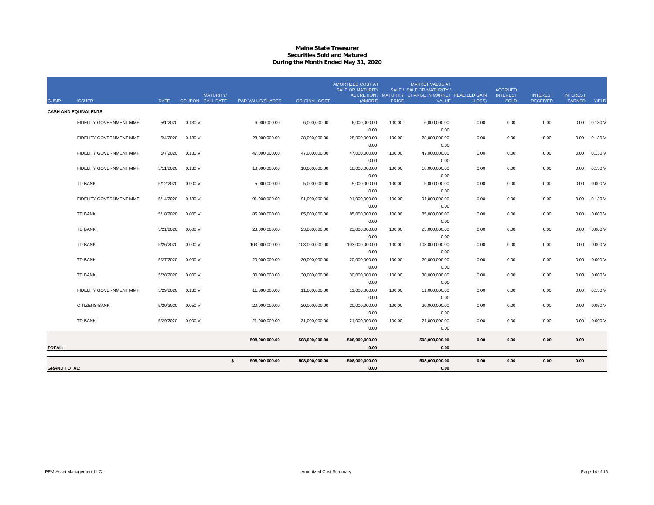#### **Maine State Treasurer Securities Sold and MaturedDuring the Month Ended May 31, 2020**

| <b>CUSIP</b>        | <b>ISSUER</b>               | <b>DATE</b> | <b>MATURITY/</b><br>COUPON CALL DATE | PAR VALUE/SHARES     | <b>ORIGINAL COST</b> | AMORTIZED COST AT<br><b>SALE OR MATURITY</b><br>(AMORT) | <b>PRICE</b> | <b>MARKET VALUE AT</b><br>SALE / SALE OR MATURITY /<br>ACCRETION / MATURITY CHANGE IN MARKET REALIZED GAIN<br><b>VALUE</b> | (LOSS) | <b>ACCRUED</b><br><b>INTEREST</b><br><b>SOLD</b> | <b>INTEREST</b><br><b>RECEIVED</b> | <b>INTEREST</b><br><b>EARNED</b> | YIELD   |
|---------------------|-----------------------------|-------------|--------------------------------------|----------------------|----------------------|---------------------------------------------------------|--------------|----------------------------------------------------------------------------------------------------------------------------|--------|--------------------------------------------------|------------------------------------|----------------------------------|---------|
|                     | <b>CASH AND EQUIVALENTS</b> |             |                                      |                      |                      |                                                         |              |                                                                                                                            |        |                                                  |                                    |                                  |         |
|                     | FIDELITY GOVERNMENT MMF     | 5/1/2020    | 0.130V                               | 6,000,000.00         | 6,000,000.00         | 6,000,000.00                                            | 100.00       | 6,000,000.00                                                                                                               | 0.00   | 0.00                                             | 0.00                               | 0.00                             | 0.130 V |
|                     |                             |             |                                      |                      |                      | 0.00                                                    |              | 0.00                                                                                                                       |        |                                                  |                                    |                                  |         |
|                     | FIDELITY GOVERNMENT MMF     | 5/4/2020    | 0.130V                               | 28.000.000.00        | 28,000,000.00        | 28,000,000.00                                           | 100.00       | 28,000,000.00                                                                                                              | 0.00   | 0.00                                             | 0.00                               | 0.00                             | 0.130 V |
|                     |                             |             |                                      |                      |                      | 0.00                                                    |              | 0.00                                                                                                                       |        |                                                  |                                    |                                  |         |
|                     | FIDELITY GOVERNMENT MMF     | 5/7/2020    | 0.130V                               | 47,000,000.00        | 47,000,000.00        | 47,000,000.00                                           | 100.00       | 47,000,000.00                                                                                                              | 0.00   | 0.00                                             | 0.00                               | 0.00                             | 0.130V  |
|                     |                             |             |                                      |                      |                      | 0.00                                                    |              | 0.00                                                                                                                       |        |                                                  |                                    |                                  |         |
|                     | FIDELITY GOVERNMENT MMF     | 5/11/2020   | 0.130V                               | 18,000,000.00        | 18,000,000.00        | 18,000,000.00                                           | 100.00       | 18,000,000.00                                                                                                              | 0.00   | 0.00                                             | 0.00                               | 0.00                             | 0.130 V |
|                     |                             |             |                                      |                      |                      | 0.00                                                    |              | 0.00                                                                                                                       |        |                                                  |                                    |                                  |         |
|                     | <b>TD BANK</b>              | 5/12/2020   | 0.000V                               | 5,000,000.00         | 5,000,000.00         | 5,000,000.00                                            | 100.00       | 5,000,000.00                                                                                                               | 0.00   | 0.00                                             | 0.00                               | 0.00                             | 0.000V  |
|                     | FIDELITY GOVERNMENT MMF     | 5/14/2020   | 0.130V                               | 91,000,000.00        | 91,000,000.00        | 0.00<br>91,000,000.00                                   | 100.00       | 0.00<br>91,000,000.00                                                                                                      | 0.00   | 0.00                                             | 0.00                               | 0.00                             | 0.130V  |
|                     |                             |             |                                      |                      |                      | 0.00                                                    |              | 0.00                                                                                                                       |        |                                                  |                                    |                                  |         |
|                     | <b>TD BANK</b>              | 5/18/2020   | 0.000V                               | 85,000,000.00        | 85,000,000.00        | 85,000,000.00                                           | 100.00       | 85,000,000.00                                                                                                              | 0.00   | 0.00                                             | 0.00                               | 0.00                             | 0.000V  |
|                     |                             |             |                                      |                      |                      | 0.00                                                    |              | 0.00                                                                                                                       |        |                                                  |                                    |                                  |         |
|                     | <b>TD BANK</b>              | 5/21/2020   | 0.000V                               | 23,000,000.00        | 23,000,000.00        | 23,000,000.00                                           | 100.00       | 23,000,000.00                                                                                                              | 0.00   | 0.00                                             | 0.00                               | 0.00                             | 0.000V  |
|                     |                             |             |                                      |                      |                      | 0.00                                                    |              | 0.00                                                                                                                       |        |                                                  |                                    |                                  |         |
|                     | <b>TD BANK</b>              | 5/26/2020   | 0.000V                               | 103,000,000.00       | 103,000,000.00       | 103,000,000.00                                          | 100.00       | 103,000,000.00                                                                                                             | 0.00   | 0.00                                             | 0.00                               | 0.00                             | 0.000V  |
|                     |                             |             |                                      |                      |                      | 0.00                                                    |              | 0.00                                                                                                                       |        |                                                  |                                    |                                  |         |
|                     | <b>TD BANK</b>              | 5/27/2020   | 0.000V                               | 20,000,000.00        | 20,000,000.00        | 20,000,000.00                                           | 100.00       | 20,000,000.00                                                                                                              | 0.00   | 0.00                                             | 0.00                               | 0.00                             | 0.000V  |
|                     |                             |             |                                      |                      |                      | 0.00                                                    |              | 0.00                                                                                                                       |        |                                                  |                                    |                                  |         |
|                     | <b>TD BANK</b>              | 5/28/2020   | 0.000V                               | 30,000,000.00        | 30,000,000.00        | 30,000,000.00                                           | 100.00       | 30,000,000.00                                                                                                              | 0.00   | 0.00                                             | 0.00                               | 0.00                             | 0.000V  |
|                     |                             |             |                                      |                      |                      | 0.00                                                    |              | 0.00                                                                                                                       |        |                                                  |                                    |                                  |         |
|                     | FIDELITY GOVERNMENT MMF     | 5/29/2020   | 0.130V                               | 11,000,000.00        | 11,000,000.00        | 11,000,000.00                                           | 100.00       | 11,000,000.00                                                                                                              | 0.00   | 0.00                                             | 0.00                               | 0.00                             | 0.130 V |
|                     |                             |             |                                      |                      |                      | 0.00                                                    |              | 0.00                                                                                                                       |        |                                                  |                                    |                                  |         |
|                     | CITIZENS BANK               | 5/29/2020   | 0.050V                               | 20,000,000.00        | 20,000,000.00        | 20,000,000.00                                           | 100.00       | 20,000,000.00                                                                                                              | 0.00   | 0.00                                             | 0.00                               | 0.00                             | 0.050V  |
|                     |                             |             |                                      |                      |                      | 0.00                                                    |              | 0.00                                                                                                                       |        |                                                  |                                    |                                  |         |
|                     | <b>TD BANK</b>              | 5/29/2020   | 0.000V                               | 21,000,000.00        | 21,000,000.00        | 21,000,000.00                                           | 100.00       | 21,000,000.00                                                                                                              | 0.00   | 0.00                                             | 0.00                               | 0.00                             | 0.000V  |
|                     |                             |             |                                      |                      |                      | 0.00                                                    |              | 0.00                                                                                                                       |        |                                                  |                                    |                                  |         |
|                     |                             |             |                                      | 508,000,000.00       | 508,000,000.00       | 508,000,000.00                                          |              | 508,000,000.00                                                                                                             | 0.00   | 0.00                                             | 0.00                               | 0.00                             |         |
| <b>TOTAL:</b>       |                             |             |                                      |                      |                      | 0.00                                                    |              | 0.00                                                                                                                       |        |                                                  |                                    |                                  |         |
|                     |                             |             |                                      | \$<br>508.000.000.00 | 508.000.000.00       | 508.000.000.00                                          |              | 508.000.000.00                                                                                                             | 0.00   | 0.00                                             | 0.00                               | 0.00                             |         |
| <b>GRAND TOTAL:</b> |                             |             |                                      |                      |                      | 0.00                                                    |              | 0.00                                                                                                                       |        |                                                  |                                    |                                  |         |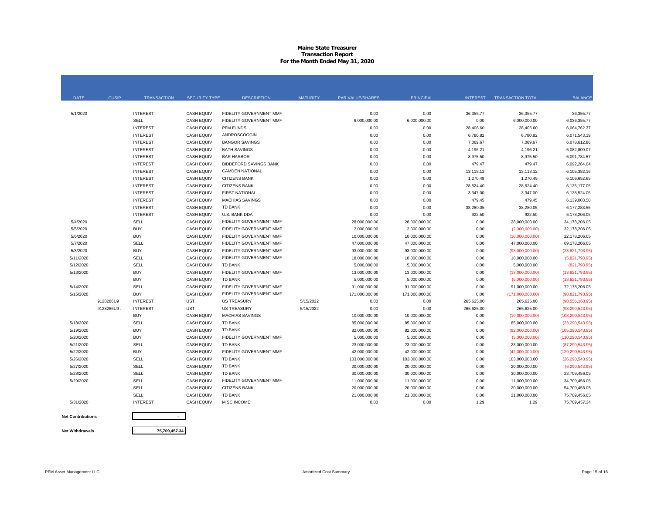# **Maine State Treasurer Transaction Report For the Month Ended May 31, 2020**

| <b>DATE</b>              | <b>CUSIP</b> | <b>TRANSACTION</b> | <b>SECURITY TYPE</b> | <b>DESCRIPTION</b>             | <b>MATURITY</b> | <b>PAR VALUE/SHARES</b> | <b>PRINCIPAL</b> | <b>INTEREST</b> | <b>TRANSACTION TOTAL</b> | <b>BALANCE</b>     |
|--------------------------|--------------|--------------------|----------------------|--------------------------------|-----------------|-------------------------|------------------|-----------------|--------------------------|--------------------|
|                          |              |                    |                      |                                |                 |                         |                  |                 |                          |                    |
| 5/1/2020                 |              | <b>INTEREST</b>    | <b>CASH EQUIV</b>    | FIDELITY GOVERNMENT MMF        |                 | 0.00                    | 0.00             | 36,355.77       | 36,355.77                | 36,355.77          |
|                          |              | SELL               | <b>CASH EQUIV</b>    | FIDELITY GOVERNMENT MMF        |                 | 6,000,000.00            | 6,000,000.00     | 0.00            | 6,000,000.00             | 6,036,355.77       |
|                          |              | <b>INTEREST</b>    | <b>CASH EQUIV</b>    | <b>PFM FUNDS</b>               |                 | 0.00                    | 0.00             | 28,406.60       | 28,406.60                | 6,064,762.37       |
|                          |              | <b>INTEREST</b>    | <b>CASH EQUIV</b>    | ANDROSCOGGIN                   |                 | 0.00                    | 0.00             | 6,780.82        | 6,780.82                 | 6,071,543.19       |
|                          |              | <b>INTEREST</b>    | <b>CASH EQUIV</b>    | <b>BANGOR SAVINGS</b>          |                 | 0.00                    | 0.00             | 7,069.67        | 7,069.67                 | 6,078,612.86       |
|                          |              | <b>INTEREST</b>    | <b>CASH EQUIV</b>    | <b>BATH SAVINGS</b>            |                 | 0.00                    | 0.00             | 4,196.21        | 4,196.21                 | 6.082.809.07       |
|                          |              | <b>INTEREST</b>    | <b>CASH EQUIV</b>    | <b>BAR HARBOR</b>              |                 | 0.00                    | 0.00             | 8,975.50        | 8,975.50                 | 6,091,784.57       |
|                          |              | <b>INTEREST</b>    | <b>CASH EQUIV</b>    | <b>BIDDEFORD SAVINGS BANK</b>  |                 | 0.00                    | 0.00             | 479.47          | 479.47                   | 6,092,264.04       |
|                          |              | <b>INTEREST</b>    | <b>CASH EQUIV</b>    | <b>CAMDEN NATIONAL</b>         |                 | 0.00                    | 0.00             | 13,118.12       | 13,118.12                | 6,105,382.16       |
|                          |              | <b>INTEREST</b>    | <b>CASH EQUIV</b>    | <b>CITIZENS BANK</b>           |                 | 0.00                    | 0.00             | 1,270.49        | 1,270.49                 | 6,106,652.65       |
|                          |              | <b>INTEREST</b>    | <b>CASH EQUIV</b>    | <b>CITIZENS BANK</b>           |                 | 0.00                    | 0.00             | 28,524.40       | 28,524.40                | 6.135.177.05       |
|                          |              | <b>INTEREST</b>    | <b>CASH EQUIV</b>    | <b>FIRST NATIONAL</b>          |                 | 0.00                    | 0.00             | 3,347.00        | 3,347.00                 | 6,138,524.05       |
|                          |              | <b>INTEREST</b>    | <b>CASH EQUIV</b>    | <b>MACHIAS SAVINGS</b>         |                 | 0.00                    | 0.00             | 479.45          | 479.45                   | 6,139,003.50       |
|                          |              | <b>INTEREST</b>    | <b>CASH EQUIV</b>    | <b>TD BANK</b>                 |                 | 0.00                    | 0.00             | 38,280.05       | 38,280.05                | 6,177,283.55       |
|                          |              | <b>INTEREST</b>    | <b>CASH EQUIV</b>    | U.S. BANK DDA                  |                 | 0.00                    | 0.00             | 922.50          | 922.50                   | 6,178,206.05       |
| 5/4/2020                 |              | SELL               | <b>CASH EQUIV</b>    | <b>FIDELITY GOVERNMENT MMF</b> |                 | 28,000,000.00           | 28,000,000.00    | 0.00            | 28,000,000.00            | 34, 178, 206.05    |
| 5/5/2020                 |              | <b>BUY</b>         | <b>CASH EQUIV</b>    | FIDELITY GOVERNMENT MMF        |                 | 2,000,000.00            | 2,000,000.00     | 0.00            | (2,000,000.00)           | 32,178,206.05      |
| 5/6/2020                 |              | <b>BUY</b>         | <b>CASH EQUIV</b>    | FIDELITY GOVERNMENT MMF        |                 | 10,000,000.00           | 10,000,000.00    | 0.00            | (10,000,000.00)          | 22,178,206.05      |
| 5/7/2020                 |              | SELL               | <b>CASH EQUIV</b>    | <b>FIDELITY GOVERNMENT MMF</b> |                 | 47,000,000.00           | 47,000,000.00    | 0.00            | 47,000,000.00            | 69.178.206.05      |
| 5/8/2020                 |              | <b>BUY</b>         | <b>CASH EQUIV</b>    | FIDELITY GOVERNMENT MMF        |                 | 93,000,000.00           | 93,000,000.00    | 0.00            | (93,000,000.00)          | (23,821,793.95)    |
| 5/11/2020                |              | SELL               | <b>CASH EQUIV</b>    | FIDELITY GOVERNMENT MMF        |                 | 18,000,000.00           | 18,000,000.00    | 0.00            | 18,000,000.00            | (5,821,793.95)     |
| 5/12/2020                |              | SELL               | <b>CASH EQUIV</b>    | <b>TD BANK</b>                 |                 | 5,000,000.00            | 5,000,000.00     | 0.00            | 5,000,000.00             | (821,793.95)       |
| 5/13/2020                |              | <b>BUY</b>         | <b>CASH EQUIV</b>    | FIDELITY GOVERNMENT MMF        |                 | 13,000,000.00           | 13,000,000.00    | 0.00            | (13,000,000.00)          | (13,821,793.95)    |
|                          |              | <b>BUY</b>         | <b>CASH EQUIV</b>    | <b>TD BANK</b>                 |                 | 5,000,000.00            | 5,000,000.00     | 0.00            | (5,000,000.00)           | (18, 821, 793.95)  |
| 5/14/2020                |              | SELL               | <b>CASH EQUIV</b>    | FIDELITY GOVERNMENT MMF        |                 | 91,000,000.00           | 91,000,000.00    | 0.00            | 91,000,000.00            | 72.178.206.05      |
| 5/15/2020                |              | <b>BUY</b>         | <b>CASH EQUIV</b>    | FIDELITY GOVERNMENT MMF        |                 | 171,000,000.00          | 171,000,000.00   | 0.00            | (171,000,000.00)         | (98, 821, 793.95)  |
|                          | 9128286U9    | <b>INTEREST</b>    | <b>UST</b>           | <b>US TREASURY</b>             | 5/15/2022       | 0.00                    | 0.00             | 265,625.00      | 265,625.00               | (98, 556, 168.95)  |
|                          | 9128286U9    | <b>INTEREST</b>    | <b>UST</b>           | <b>US TREASURY</b>             | 5/15/2022       | 0.00                    | 0.00             | 265,625.00      | 265,625.00               | (98, 290, 543.95)  |
|                          |              | <b>BUY</b>         | <b>CASH EQUIV</b>    | <b>MACHIAS SAVINGS</b>         |                 | 10,000,000.00           | 10,000,000.00    | 0.00            | (10,000,000.00)          | (108, 290, 543.95) |
| 5/18/2020                |              | SELL               | <b>CASH EQUIV</b>    | <b>TD BANK</b>                 |                 | 85,000,000.00           | 85,000,000.00    | 0.00            | 85,000,000.00            | (23, 290, 543.95)  |
| 5/19/2020                |              | <b>BUY</b>         | <b>CASH EQUIV</b>    | <b>TD BANK</b>                 |                 | 82,000,000.00           | 82,000,000.00    | 0.00            | (82,000,000.00)          | (105, 290, 543.95) |
| 5/20/2020                |              | <b>BUY</b>         | <b>CASH EQUIV</b>    | <b>FIDELITY GOVERNMENT MMF</b> |                 | 5.000.000.00            | 5,000,000.00     | 0.00            | (5,000,000.00)           | (110, 290, 543.95) |
| 5/21/2020                |              | SELL               | <b>CASH EQUIV</b>    | <b>TD BANK</b>                 |                 | 23,000,000.00           | 23,000,000.00    | 0.00            | 23,000,000.00            | (87, 290, 543.95)  |
| 5/22/2020                |              | <b>BUY</b>         | <b>CASH EQUIV</b>    | FIDELITY GOVERNMENT MMF        |                 | 42,000,000.00           | 42,000,000.00    | 0.00            | (42,000,000.00)          | (129, 290, 543.95) |
| 5/26/2020                |              | SELL               | <b>CASH EQUIV</b>    | <b>TD BANK</b>                 |                 | 103,000,000.00          | 103,000,000.00   | 0.00            | 103,000,000.00           | (26, 290, 543.95)  |
| 5/27/2020                |              | SELL               | <b>CASH EQUIV</b>    | <b>TD BANK</b>                 |                 | 20,000,000.00           | 20,000,000.00    | 0.00            | 20,000,000.00            | (6, 290, 543.95)   |
| 5/28/2020                |              | SELL               | <b>CASH EQUIV</b>    | <b>TD BANK</b>                 |                 | 30,000,000.00           | 30,000,000.00    | 0.00            | 30,000,000.00            | 23,709,456.05      |
| 5/29/2020                |              | SELL               | <b>CASH EQUIV</b>    | FIDELITY GOVERNMENT MMF        |                 | 11,000,000.00           | 11,000,000.00    | 0.00            | 11,000,000.00            | 34,709,456.05      |
|                          |              | SELL               | <b>CASH EQUIV</b>    | <b>CITIZENS BANK</b>           |                 | 20,000,000.00           | 20,000,000.00    | 0.00            | 20,000,000.00            | 54,709,456.05      |
|                          |              | SELL               | <b>CASH EQUIV</b>    | <b>TD BANK</b>                 |                 | 21,000,000.00           | 21,000,000.00    | 0.00            | 21,000,000.00            | 75,709,456.05      |
| 5/31/2020                |              | <b>INTEREST</b>    | <b>CASH EQUIV</b>    | MISC INCOME                    |                 | 0.00                    | 0.00             | 1.29            | 1.29                     | 75,709,457.34      |
| <b>Net Contributions</b> |              |                    |                      |                                |                 |                         |                  |                 |                          |                    |

**Net Contributions**

**Net Withdrawals**

**75,709,457.34**